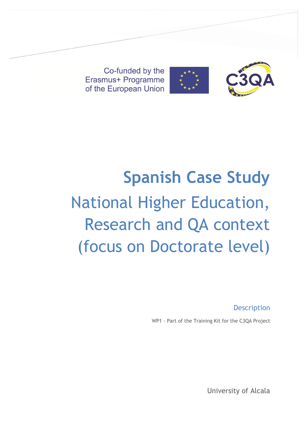Co-funded by the Erasmus+ Programme of the European Union



# **Spanish Case Study** National Higher Education, Research and QA context (focus on Doctorate level)

**Description** 

WP1 - Part of the Training Kit for the C3QA Project

University of Alcala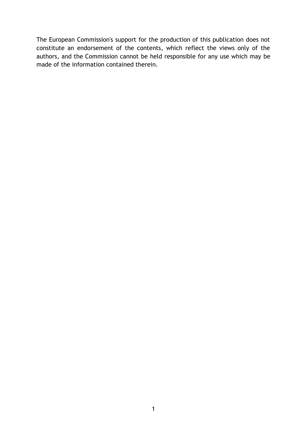The European Commission's support for the production of this publication does not constitute an endorsement of the contents, which reflect the views only of the authors, and the Commission cannot be held responsible for any use which may be made of the information contained therein.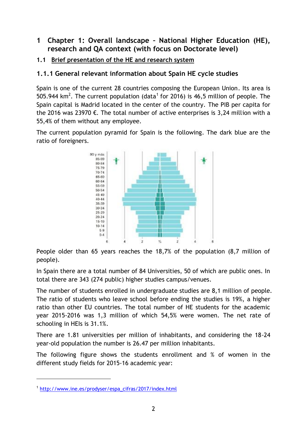# **1 Chapter 1: Overall landscape – National Higher Education (HE), research and QA context (with focus on Doctorate level)**

## **1.1 Brief presentation of the HE and research system**

# **1.1.1 General relevant information about Spain HE cycle studies**

Spain is one of the current 28 countries composing the European Union. Its area is 505.944 km<sup>2</sup>. The current population (data<sup>1</sup> for 2016) is 46,5 million of people. The Spain capital is Madrid located in the center of the country. The PIB per capita for the 2016 was 23970  $\epsilon$ . The total number of active enterprises is 3,24 million with a 55,4% of them without any employee.

The current population pyramid for Spain is the following. The dark blue are the ratio of foreigners.



People older than 65 years reaches the 18,7% of the population (8,7 million of people).

In Spain there are a total number of 84 Universities, 50 of which are public ones. In total there are 343 (274 public) higher studies campus/venues.

The number of students enrolled in undergraduate studies are 8,1 million of people. The ratio of students who leave school before ending the studies is 19%, a higher ratio than other EU countries. The total number of HE students for the academic year 2015-2016 was 1,3 million of which 54,5% were women. The net rate of schooling in HEIs is 31.1%.

There are 1.81 universities per million of inhabitants, and considering the 18-24 year-old population the number is 26.47 per million inhabitants.

The following figure shows the students enrollment and % of women in the different study fields for 2015-16 academic year:

 $\overline{a}$ 

<sup>1</sup> [http://www.ine.es/prodyser/espa\\_cifras/2017/index.html](http://www.ine.es/prodyser/espa_cifras/2017/index.html)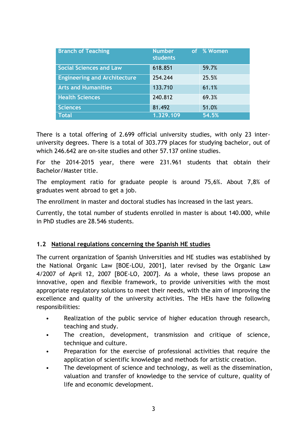| <b>Branch of Teaching</b>           | Number <sup>'</sup><br><b>students</b> | of % Women |
|-------------------------------------|----------------------------------------|------------|
| <b>Social Sciences and Law</b>      | 618.851                                | 59.7%      |
| <b>Engineering and Architecture</b> | 254.244                                | 25.5%      |
| <b>Arts and Humanities</b>          | 133.710                                | 61.1%      |
| <b>Health Sciences</b>              | 240.812                                | 69.3%      |
| <b>Sciences</b>                     | 81.492                                 | 51.0%      |
| <b>Total</b>                        | 1.329.109                              | 54.5%      |

There is a total offering of 2.699 official university studies, with only 23 interuniversity degrees. There is a total of 303.779 places for studying bachelor, out of which 246.642 are on-site studies and other 57.137 online studies.

For the 2014-2015 year, there were 231.961 students that obtain their Bachelor/Master title.

The employment ratio for graduate people is around 75,6%. About 7,8% of graduates went abroad to get a job.

The enrollment in master and doctoral studies has increased in the last years.

Currently, the total number of students enrolled in master is about 140.000, while in PhD studies are 28.546 students.

#### **1.2 National regulations concerning the Spanish HE studies**

The current organization of Spanish Universities and HE studies was established by the National Organic Law [BOE-LOU, 2001], later revised by the Organic Law 4/2007 of April 12, 2007 [BOE-LO, 2007]. As a whole, these laws propose an innovative, open and flexible framework, to provide universities with the most appropriate regulatory solutions to meet their needs, with the aim of improving the excellence and quality of the university activities. The HEIs have the following responsibilities:

- Realization of the public service of higher education through research, teaching and study.
- The creation, development, transmission and critique of science, technique and culture.
- Preparation for the exercise of professional activities that require the application of scientific knowledge and methods for artistic creation.
- The development of science and technology, as well as the dissemination, valuation and transfer of knowledge to the service of culture, quality of life and economic development.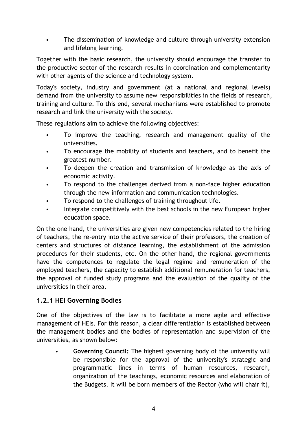• The dissemination of knowledge and culture through university extension and lifelong learning.

Together with the basic research, the university should encourage the transfer to the productive sector of the research results in coordination and complementarity with other agents of the science and technology system.

Today's society, industry and government (at a national and regional levels) demand from the university to assume new responsibilities in the fields of research, training and culture. To this end, several mechanisms were established to promote research and link the university with the society.

These regulations aim to achieve the following objectives:

- To improve the teaching, research and management quality of the universities.
- To encourage the mobility of students and teachers, and to benefit the greatest number.
- To deepen the creation and transmission of knowledge as the axis of economic activity.
- To respond to the challenges derived from a non-face higher education through the new information and communication technologies.
- To respond to the challenges of training throughout life.
- Integrate competitively with the best schools in the new European higher education space.

On the one hand, the universities are given new competencies related to the hiring of teachers, the re-entry into the active service of their professors, the creation of centers and structures of distance learning, the establishment of the admission procedures for their students, etc. On the other hand, the regional governments have the competences to regulate the legal regime and remuneration of the employed teachers, the capacity to establish additional remuneration for teachers, the approval of funded study programs and the evaluation of the quality of the universities in their area.

# **1.2.1 HEI Governing Bodies**

One of the objectives of the law is to facilitate a more agile and effective management of HEIs. For this reason, a clear differentiation is established between the management bodies and the bodies of representation and supervision of the universities, as shown below:

• **Governing Council:** The highest governing body of the university will be responsible for the approval of the university's strategic and programmatic lines in terms of human resources, research, organization of the teachings, economic resources and elaboration of the Budgets. It will be born members of the Rector (who will chair it),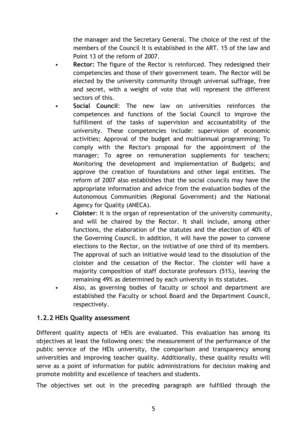the manager and the Secretary General. The choice of the rest of the members of the Council It is established in the ART. 15 of the law and Point 13 of the reform of 2007.

- **Rector:** The figure of the Rector is reinforced. They redesigned their competencies and those of their government team. The Rector will be elected by the university community through universal suffrage, free and secret, with a weight of vote that will represent the different sectors of this.
- **Social Council**: The new law on universities reinforces the competences and functions of the Social Council to improve the fulfillment of the tasks of supervision and accountability of the university. These competencies include: supervision of economic activities; Approval of the budget and multiannual programming; To comply with the Rector's proposal for the appointment of the manager; To agree on remuneration supplements for teachers; Monitoring the development and implementation of Budgets; and approve the creation of foundations and other legal entities. The reform of 2007 also establishes that the social councils may have the appropriate information and advice from the evaluation bodies of the Autonomous Communities (Regional Government) and the National Agency for Quality (ANECA).
- **Cloister**: It is the organ of representation of the university community, and will be chaired by the Rector. It shall include, among other functions, the elaboration of the statutes and the election of 40% of the Governing Council. In addition, it will have the power to convene elections to the Rector, on the initiative of one third of its members. The approval of such an initiative would lead to the dissolution of the cloister and the cessation of the Rector. The cloister will have a majority composition of staff doctorate professors (51%), leaving the remaining 49% as determined by each university in its statutes.
- Also, as governing bodies of faculty or school and department are established the Faculty or school Board and the Department Council, respectively.

## **1.2.2 HEIs Quality assessment**

Different quality aspects of HEIs are evaluated. This evaluation has among its objectives at least the following ones: the measurement of the performance of the public service of the HEIs university, the comparison and transparency among universities and improving teacher quality. Additionally, these quality results will serve as a point of information for public administrations for decision making and promote mobility and excellence of teachers and students.

The objectives set out in the preceding paragraph are fulfilled through the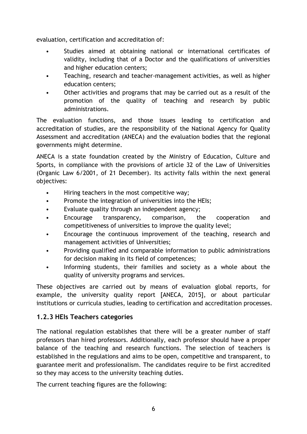evaluation, certification and accreditation of:

- Studies aimed at obtaining national or international certificates of validity, including that of a Doctor and the qualifications of universities and higher education centers;
- Teaching, research and teacher-management activities, as well as higher education centers;
- Other activities and programs that may be carried out as a result of the promotion of the quality of teaching and research by public administrations.

The evaluation functions, and those issues leading to certification and accreditation of studies, are the responsibility of the National Agency for Quality Assessment and accreditation (ANECA) and the evaluation bodies that the regional governments might determine.

ANECA is a state foundation created by the Ministry of Education, Culture and Sports, in compliance with the provisions of article 32 of the Law of Universities (Organic Law 6/2001, of 21 December). Its activity falls within the next general objectives:

- Hiring teachers in the most competitive way;
- Promote the integration of universities into the HEIs;
- Evaluate quality through an independent agency;
- Encourage transparency, comparison, the cooperation and competitiveness of universities to improve the quality level;
- Encourage the continuous improvement of the teaching, research and management activities of Universities;
- Providing qualified and comparable information to public administrations for decision making in its field of competences;
- Informing students, their families and society as a whole about the quality of university programs and services.

These objectives are carried out by means of evaluation global reports, for example, the university quality report [ANECA, 2015], or about particular institutions or curricula studies, leading to certification and accreditation processes.

# **1.2.3 HEIs Teachers categories**

The national regulation establishes that there will be a greater number of staff professors than hired professors. Additionally, each professor should have a proper balance of the teaching and research functions. The selection of teachers is established in the regulations and aims to be open, competitive and transparent, to guarantee merit and professionalism. The candidates require to be first accredited so they may access to the university teaching duties.

The current teaching figures are the following: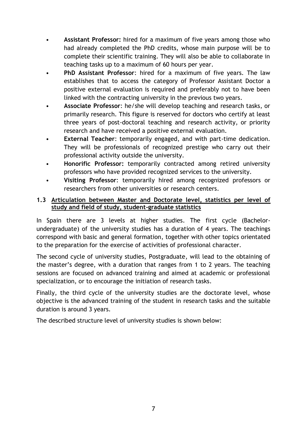- **Assistant Professor:** hired for a maximum of five years among those who had already completed the PhD credits, whose main purpose will be to complete their scientific training. They will also be able to collaborate in teaching tasks up to a maximum of 60 hours per year.
- **PhD Assistant Professor**: hired for a maximum of five years. The law establishes that to access the category of Professor Assistant Doctor a positive external evaluation is required and preferably not to have been linked with the contracting university in the previous two years.
- **Associate Professor**: he/she will develop teaching and research tasks, or primarily research. This figure is reserved for doctors who certify at least three years of post-doctoral teaching and research activity, or priority research and have received a positive external evaluation.
- **External Teacher:** temporarily engaged, and with part-time dedication. They will be professionals of recognized prestige who carry out their professional activity outside the university.
- **Honorific Professor:** temporarily contracted among retired university professors who have provided recognized services to the university.
- **Visiting Professor**: temporarily hired among recognized professors or researchers from other universities or research centers.

## **1.3 Articulation between Master and Doctorate level, statistics per level of study and field of study, student-graduate statistics**

In Spain there are 3 levels at higher studies. The first cycle (Bachelorundergraduate) of the university studies has a duration of 4 years. The teachings correspond with basic and general formation, together with other topics orientated to the preparation for the exercise of activities of professional character.

The second cycle of university studies, Postgraduate, will lead to the obtaining of the master's degree, with a duration that ranges from 1 to 2 years. The teaching sessions are focused on advanced training and aimed at academic or professional specialization, or to encourage the initiation of research tasks.

Finally, the third cycle of the university studies are the doctorate level, whose objective is the advanced training of the student in research tasks and the suitable duration is around 3 years.

The described structure level of university studies is shown below: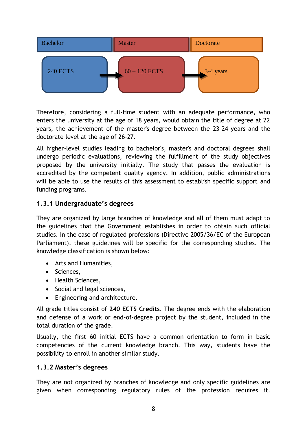

Therefore, considering a full-time student with an adequate performance, who enters the university at the age of 18 years, would obtain the title of degree at 22 years, the achievement of the master's degree between the 23-24 years and the doctorate level at the age of 26-27.

All higher-level studies leading to bachelor's, master's and doctoral degrees shall undergo periodic evaluations, reviewing the fulfillment of the study objectives proposed by the university initially. The study that passes the evaluation is accredited by the competent quality agency. In addition, public administrations will be able to use the results of this assessment to establish specific support and funding programs.

# **1.3.1 Undergraduate's degrees**

They are organized by large branches of knowledge and all of them must adapt to the guidelines that the Government establishes in order to obtain such official studies. In the case of regulated professions (Directive 2005/36/EC of the European Parliament), these guidelines will be specific for the corresponding studies. The knowledge classification is shown below:

- Arts and Humanities,
- Sciences,
- Health Sciences,
- Social and legal sciences,
- Engineering and architecture.

All grade titles consist of **240 ECTS Credits**. The degree ends with the elaboration and defense of a work or end-of-degree project by the student, included in the total duration of the grade.

Usually, the first 60 initial ECTS have a common orientation to form in basic competencies of the current knowledge branch. This way, students have the possibility to enroll in another similar study.

## **1.3.2 Master's degrees**

They are not organized by branches of knowledge and only specific guidelines are given when corresponding regulatory rules of the profession requires it.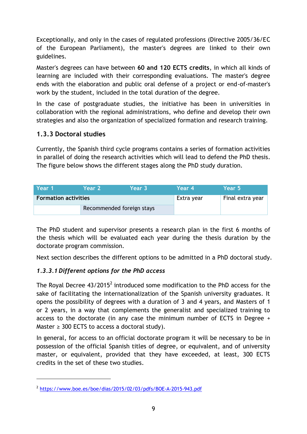Exceptionally, and only in the cases of regulated professions (Directive 2005/36/EC of the European Parliament), the master's degrees are linked to their own guidelines.

Master's degrees can have between **60 and 120 ECTS credits**, in which all kinds of learning are included with their corresponding evaluations. The master's degree ends with the elaboration and public oral defense of a project or end-of-master's work by the student, included in the total duration of the degree.

In the case of postgraduate studies, the initiative has been in universities in collaboration with the regional administrations, who define and develop their own strategies and also the organization of specialized formation and research training.

# **1.3.3 Doctoral studies**

 $\overline{a}$ 

Currently, the Spanish third cycle programs contains a series of formation activities in parallel of doing the research activities which will lead to defend the PhD thesis. The figure below shows the different stages along the PhD study duration.

| . Year 1'                   | Year 2                    | Year 3     | Year 4           | Year 5 |
|-----------------------------|---------------------------|------------|------------------|--------|
| <b>Formation activities</b> |                           | Extra year | Final extra year |        |
|                             | Recommended foreign stays |            |                  |        |

The PhD student and supervisor presents a research plan in the first 6 months of the thesis which will be evaluated each year during the thesis duration by the doctorate program commission.

Next section describes the different options to be admitted in a PhD doctoral study.

## *1.3.3.1 Different options for the PhD access*

The Royal Decree 43/2015<sup>2</sup> introduced some modification to the PhD access for the sake of facilitating the internationalization of the Spanish university graduates. It opens the possibility of degrees with a duration of 3 and 4 years, and Masters of 1 or 2 years, in a way that complements the generalist and specialized training to access to the doctorate (in any case the minimum number of ECTS in Degree + Master  $\geq$  300 ECTS to access a doctoral study).

In general, for access to an official doctorate program it will be necessary to be in possession of the official Spanish titles of degree, or equivalent, and of university master, or equivalent, provided that they have exceeded, at least, 300 ECTS credits in the set of these two studies.

<sup>&</sup>lt;sup>2</sup> <https://www.boe.es/boe/dias/2015/02/03/pdfs/BOE-A-2015-943.pdf>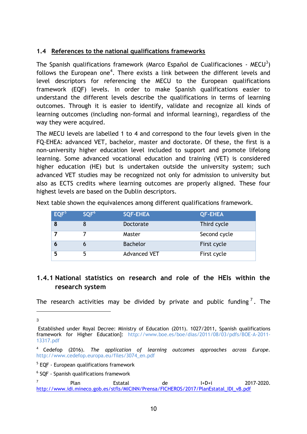### **1.4 References to the national qualifications frameworks**

The Spanish qualifications framework (Marco Español de Cualificaciones - MECU $^3$ ) follows the European one<sup>4</sup>. There exists a link between the different levels and level descriptors for referencing the MECU to the European qualifications framework (EQF) levels. In order to make Spanish qualifications easier to understand the different levels describe the qualifications in terms of learning outcomes. Through it is easier to identify, validate and recognize all kinds of learning outcomes (including non-formal and informal learning), regardless of the way they were acquired.

The MECU levels are labelled 1 to 4 and correspond to the four levels given in the FQ-EHEA: advanced VET, bachelor, master and doctorate. Of these, the first is a non-university higher education level included to support and promote lifelong learning. Some advanced vocational education and training (VET) is considered higher education (HE) but is undertaken outside the university system; such advanced VET studies may be recognized not only for admission to university but also as ECTS credits where learning outcomes are properly aligned. These four highest levels are based on the Dublin descriptors.

| EQF <sup>5</sup> | SQF <sup>6</sup> | <b>SQF-EHEA</b>     | <b>QF-EHEA</b> |
|------------------|------------------|---------------------|----------------|
|                  |                  | <b>Doctorate</b>    | Third cycle    |
|                  |                  | Master              | Second cycle   |
|                  |                  | <b>Bachelor</b>     | First cycle    |
|                  |                  | <b>Advanced VET</b> | First cycle    |

Next table shown the equivalences among different qualifications framework.

# **1.4.1 National statistics on research and role of the HEIs within the research system**

The research activities may be divided by private and public funding<sup>7</sup>. The

<sup>-</sup>3

Established under Royal Decree: Ministry of Education (2011). 1027/2011, Spanish qualifications framework for Higher Education]: http://www.boe.es/boe/dias/2011/08/03/pdfs/BOE-A-2011- 13317.pdf

<sup>4</sup> Cedefop (2016). *The application of learning outcomes approaches across Europe.*  http://www.cedefop.europa.eu/files/3074\_en.pdf

<sup>&</sup>lt;sup>5</sup> EQF - European qualifications framework

<sup>6</sup> SQF - Spanish qualifications framework

<sup>7</sup> Plan Estatal de I+D+i 2017-2020. [http://www.idi.mineco.gob.es/stfls/MICINN/Prensa/FICHEROS/2017/PlanEstatal\\_IDI\\_vB.pdf](http://www.idi.mineco.gob.es/stfls/MICINN/Prensa/FICHEROS/2017/PlanEstatal_IDI_vB.pdf)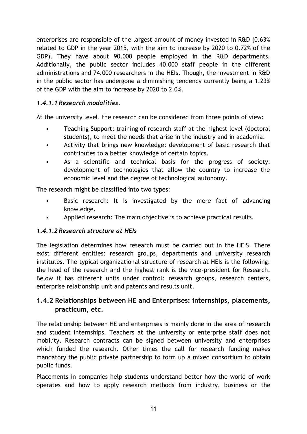enterprises are responsible of the largest amount of money invested in R&D (0.63% related to GDP in the year 2015, with the aim to increase by 2020 to 0.72% of the GDP). They have about 90.000 people employed in the R&D departments. Additionally, the public sector includes 40.000 staff people in the different administrations and 74.000 researchers in the HEIs. Though, the investment in R&D in the public sector has undergone a diminishing tendency currently being a 1.23% of the GDP with the aim to increase by 2020 to 2.0%.

# *1.4.1.1 Research modalities.*

At the university level, the research can be considered from three points of view:

- Teaching Support: training of research staff at the highest level (doctoral students), to meet the needs that arise in the industry and in academia.
- Activity that brings new knowledge: development of basic research that contributes to a better knowledge of certain topics.
- As a scientific and technical basis for the progress of society: development of technologies that allow the country to increase the economic level and the degree of technological autonomy.

The research might be classified into two types:

- Basic research: It is investigated by the mere fact of advancing knowledge.
- Applied research: The main objective is to achieve practical results.

## *1.4.1.2 Research structure at HEIs*

The legislation determines how research must be carried out in the HEIS. There exist different entities: research groups, departments and university research institutes. The typical organizational structure of research at HEIs is the following: the head of the research and the highest rank is the vice-president for Research. Below it has different units under control: research groups, research centers, enterprise relationship unit and patents and results unit.

# **1.4.2 Relationships between HE and Enterprises: internships, placements, practicum, etc.**

The relationship between HE and enterprises is mainly done in the area of research and student internships. Teachers at the university or enterprise staff does not mobility. Research contracts can be signed between university and enterprises which funded the research. Other times the call for research funding makes mandatory the public private partnership to form up a mixed consortium to obtain public funds.

Placements in companies help students understand better how the world of work operates and how to apply research methods from industry, business or the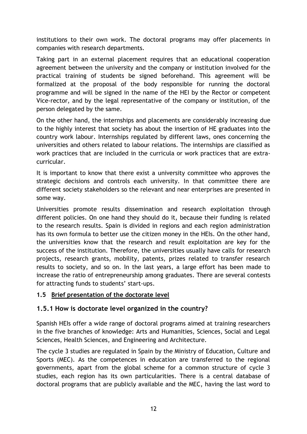institutions to their own work. The doctoral programs may offer placements in companies with research departments.

Taking part in an external placement requires that an educational cooperation agreement between the university and the company or institution involved for the practical training of students be signed beforehand. This agreement will be formalized at the proposal of the body responsible for running the doctoral programme and will be signed in the name of the HEI by the Rector or competent Vice-rector, and by the legal representative of the company or institution, of the person delegated by the same.

On the other hand, the internships and placements are considerably increasing due to the highly interest that society has about the insertion of HE graduates into the country work labour. Internships regulated by different laws, ones concerning the universities and others related to labour relations. The internships are classified as work practices that are included in the curricula or work practices that are extracurricular.

It is important to know that there exist a university committee who approves the strategic decisions and controls each university. In that committee there are different society stakeholders so the relevant and near enterprises are presented in some way.

Universities promote results dissemination and research exploitation through different policies. On one hand they should do it, because their funding is related to the research results. Spain is divided in regions and each region administration has its own formula to better use the citizen money in the HEIs. On the other hand, the universities know that the research and result exploitation are key for the success of the institution. Therefore, the universities usually have calls for research projects, research grants, mobility, patents, prizes related to transfer research results to society, and so on. In the last years, a large effort has been made to increase the ratio of entrepreneurship among graduates. There are several contests for attracting funds to students' start-ups.

## **1.5 Brief presentation of the doctorate level**

# **1.5.1 How is doctorate level organized in the country?**

Spanish HEIs offer a wide range of doctoral programs aimed at training researchers in the five branches of knowledge: Arts and Humanities, Sciences, Social and Legal Sciences, Health Sciences, and Engineering and Architecture.

The cycle 3 studies are regulated in Spain by the Ministry of Education, Culture and Sports (MEC). As the competences in education are transferred to the regional governments, apart from the global scheme for a common structure of cycle 3 studies, each region has its own particularities. There is a central database of doctoral programs that are publicly available and the MEC, having the last word to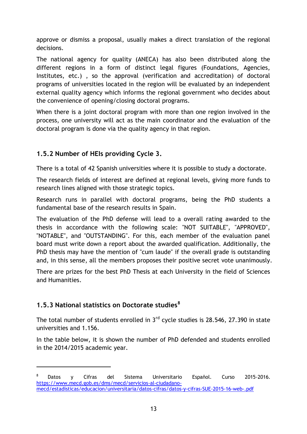approve or dismiss a proposal, usually makes a direct translation of the regional decisions.

The national agency for quality (ANECA) has also been distributed along the different regions in a form of distinct legal figures (Foundations, Agencies, Institutes, etc.) , so the approval (verification and accreditation) of doctoral programs of universities located in the region will be evaluated by an independent external quality agency which informs the regional government who decides about the convenience of opening/closing doctoral programs.

When there is a joint doctoral program with more than one region involved in the process, one university will act as the main coordinator and the evaluation of the doctoral program is done via the quality agency in that region.

# **1.5.2 Number of HEIs providing Cycle 3.**

There is a total of 42 Spanish universities where it is possible to study a doctorate.

The research fields of interest are defined at regional levels, giving more funds to research lines aligned with those strategic topics.

Research runs in parallel with doctoral programs, being the PhD students a fundamental base of the research results in Spain.

The evaluation of the PhD defense will lead to a overall rating awarded to the thesis in accordance with the following scale: "NOT SUITABLE", "APPROVED", "NOTABLE", and "OUTSTANDING". For this, each member of the evaluation panel board must write down a report about the awarded qualification. Additionally, the PhD thesis may have the mention of "cum laude" if the overall grade is outstanding and, in this sense, all the members proposes their positive secret vote unanimously.

There are prizes for the best PhD Thesis at each University in the field of Sciences and Humanities.

# **1.5.3 National statistics on Doctorate studies<sup>8</sup>**

 $\overline{a}$ 

The total number of students enrolled in  $3<sup>rd</sup>$  cycle studies is 28.546, 27.390 in state universities and 1.156.

In the table below, it is shown the number of PhD defended and students enrolled in the 2014/2015 academic year.

<sup>8</sup> Datos y Cifras del Sistema Universitario Español. Curso 2015-2016. [https://www.mecd.gob.es/dms/mecd/servicios-al-ciudadano](https://www.mecd.gob.es/dms/mecd/servicios-al-ciudadano-mecd/estadisticas/educacion/universitaria/datos-cifras/datos-y-cifras-SUE-2015-16-web-.pdf)[mecd/estadisticas/educacion/universitaria/datos-cifras/datos-y-cifras-SUE-2015-16-web-.pdf](https://www.mecd.gob.es/dms/mecd/servicios-al-ciudadano-mecd/estadisticas/educacion/universitaria/datos-cifras/datos-y-cifras-SUE-2015-16-web-.pdf)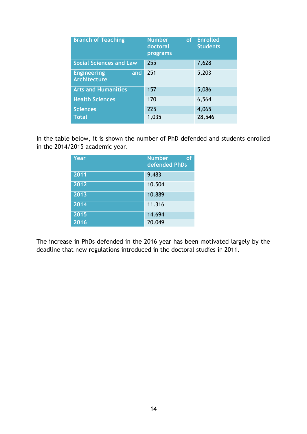| <b>Branch of Teaching</b>                        | <b>Number</b><br>of<br>doctoral<br>programs | <b>Enrolled</b><br><b>Students</b> |
|--------------------------------------------------|---------------------------------------------|------------------------------------|
| <b>Social Sciences and Law</b>                   | 255                                         | 7,628                              |
| <b>Engineering</b><br>and<br><b>Architecture</b> | 251                                         | 5,203                              |
| <b>Arts and Humanities</b>                       | 157                                         | 5,086                              |
| <b>Health Sciences</b>                           | 170                                         | 6,564                              |
| <b>Sciences</b>                                  | 225                                         | 4,065                              |
| <b>Total</b>                                     | 1,035                                       | 28,546                             |

In the table below, it is shown the number of PhD defended and students enrolled in the 2014/2015 academic year.

| Year | <b>Number</b><br>οf<br>defended PhDs |
|------|--------------------------------------|
| 2011 | 9.483                                |
| 2012 | 10.504                               |
| 2013 | 10.889                               |
| 2014 | 11.316                               |
| 2015 | 14.694                               |
| 2016 | 20.049                               |

The increase in PhDs defended in the 2016 year has been motivated largely by the deadline that new regulations introduced in the doctoral studies in 2011.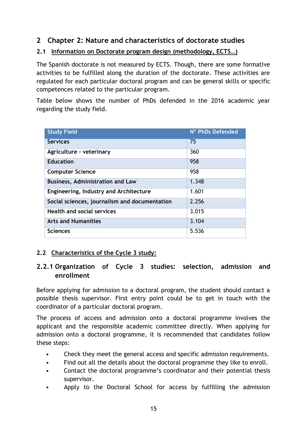# **2 Chapter 2: Nature and characteristics of doctorate studies**

### **2.1 Information on Doctorate program design (methodology, ECTS…)**

The Spanish doctorate is not measured by ECTS. Though, there are some formative activities to be fulfilled along the duration of the doctorate. These activities are regulated for each particular doctoral program and can be general skills or specific competences related to the particular program.

Table below shows the number of PhDs defended in the 2016 academic year regarding the study field.

| <b>Study Field</b>                            | Nº PhDs Defended |
|-----------------------------------------------|------------------|
| <b>Services</b>                               | 75               |
| Agriculture - veterinary                      | 360              |
| <b>Education</b>                              | 958              |
| <b>Computer Science</b>                       | 958              |
| <b>Business, Administration and Law</b>       | 1.348            |
| Engineering, Industry and Architecture        | 1.601            |
| Social sciences, journalism and documentation | 2.256            |
| <b>Health and social services</b>             | 3.015            |
| <b>Arts and Humanities</b>                    | 3.104            |
| <b>Sciences</b>                               | 5.536            |

## **2.2 Characteristics of the Cycle 3 study:**

# **2.2.1 Organization of Cycle 3 studies: selection, admission and enrollment**

Before applying for admission to a doctoral program, the student should contact a possible thesis supervisor. First entry point could be to get in touch with the coordinator of a particular doctoral program.

The process of access and admission onto a doctoral programme involves the applicant and the responsible academic committee directly. When applying for admission onto a doctoral programme, it is recommended that candidates follow these steps:

- Check they meet the general access and specific admission requirements.
- Find out all the details about the doctoral programme they like to enroll.
- Contact the doctoral programme's coordinator and their potential thesis supervisor.
- Apply to the Doctoral School for access by fulfilling the admission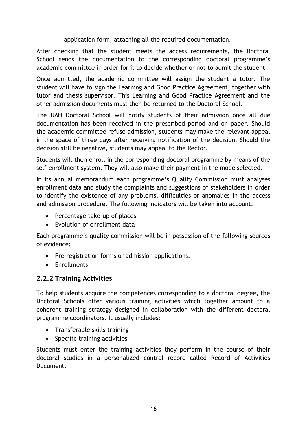application form, attaching all the required documentation.

After checking that the student meets the access requirements, the Doctoral School sends the documentation to the corresponding doctoral programme's academic committee in order for it to decide whether or not to admit the student.

Once admitted, the academic committee will assign the student a tutor. The student will have to sign the Learning and Good Practice Agreement, together with tutor and thesis supervisor. This Learning and Good Practice Agreement and the other admission documents must then be returned to the Doctoral School.

The UAH Doctoral School will notify students of their admission once all due documentation has been received in the prescribed period and on paper. Should the academic committee refuse admission, students may make the relevant appeal in the space of three days after receiving notification of the decision. Should the decision still be negative, students may appeal to the Rector.

Students will then enroll in the corresponding doctoral programme by means of the self-enrollment system. They will also make their payment in the mode selected.

In its annual memorandum each programme's Quality Commission must analyses enrollment data and study the complaints and suggestions of stakeholders in order to identify the existence of any problems, difficulties or anomalies in the access and admission procedure. The following indicators will be taken into account:

- Percentage take-up of places
- Evolution of enrollment data

Each programme's quality commission will be in possession of the following sources of evidence:

- Pre-registration forms or admission applications.
- **Enrollments**

## **2.2.2 Training Activities**

To help students acquire the competences corresponding to a doctoral degree, the Doctoral Schools offer various training activities which together amount to a coherent training strategy designed in collaboration with the different doctoral programme coordinators. It usually includes:

- Transferable skills training
- Specific training activities

Students must enter the training activities they perform in the course of their doctoral studies in a personalized control record called Record of Activities Document.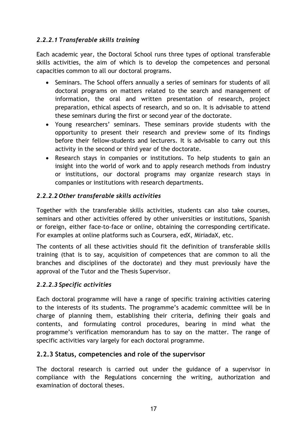# *2.2.2.1 Transferable skills training*

Each academic year, the Doctoral School runs three types of optional transferable skills activities, the aim of which is to develop the competences and personal capacities common to all our doctoral programs.

- Seminars. The School offers annually a series of seminars for students of all doctoral programs on matters related to the search and management of information, the oral and written presentation of research, project preparation, ethical aspects of research, and so on. It is advisable to attend these seminars during the first or second year of the doctorate.
- Young researchers' seminars. These seminars provide students with the opportunity to present their research and preview some of its findings before their fellow-students and lecturers. It is advisable to carry out this activity in the second or third year of the doctorate.
- Research stays in companies or institutions. To help students to gain an insight into the world of work and to apply research methods from industry or institutions, our doctoral programs may organize research stays in companies or institutions with research departments.

# *2.2.2.2 Other transferable skills activities*

Together with the transferable skills activities, students can also take courses, seminars and other activities offered by other universities or institutions, Spanish or foreign, either face-to-face or online, obtaining the corresponding certificate. For examples at online platforms such as Coursera, edX, MiriadaX, etc.

The contents of all these activities should fit the definition of transferable skills training (that is to say, acquisition of competences that are common to all the branches and disciplines of the doctorate) and they must previously have the approval of the Tutor and the Thesis Supervisor.

## *2.2.2.3 Specific activities*

Each doctoral programme will have a range of specific training activities catering to the interests of its students. The programme's academic committee will be in charge of planning them, establishing their criteria, defining their goals and contents, and formulating control procedures, bearing in mind what the programme's verification memorandum has to say on the matter. The range of specific activities vary largely for each doctoral programme.

## **2.2.3 Status, competencies and role of the supervisor**

The doctoral research is carried out under the guidance of a supervisor in compliance with the Regulations concerning the writing, authorization and examination of doctoral theses.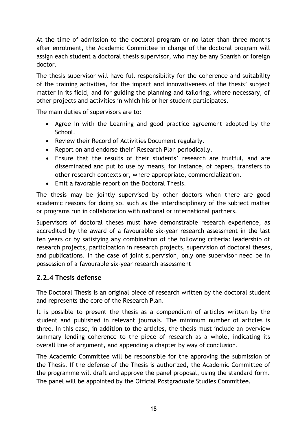At the time of admission to the doctoral program or no later than three months after enrolment, the Academic Committee in charge of the doctoral program will assign each student a doctoral thesis supervisor, who may be any Spanish or foreign doctor.

The thesis supervisor will have full responsibility for the coherence and suitability of the training activities, for the impact and innovativeness of the thesis' subject matter in its field, and for guiding the planning and tailoring, where necessary, of other projects and activities in which his or her student participates.

The main duties of supervisors are to:

- Agree in with the Learning and good practice agreement adopted by the School.
- Review their Record of Activities Document regularly.
- Report on and endorse their' Research Plan periodically.
- Ensure that the results of their students' research are fruitful, and are disseminated and put to use by means, for instance, of papers, transfers to other research contexts or, where appropriate, commercialization.
- Emit a favorable report on the Doctoral Thesis.

The thesis may be jointly supervised by other doctors when there are good academic reasons for doing so, such as the interdisciplinary of the subject matter or programs run in collaboration with national or international partners.

Supervisors of doctoral theses must have demonstrable research experience, as accredited by the award of a favourable six-year research assessment in the last ten years or by satisfying any combination of the following criteria: leadership of research projects, participation in research projects, supervision of doctoral theses, and publications. In the case of joint supervision, only one supervisor need be in possession of a favourable six-year research assessment

# **2.2.4 Thesis defense**

The Doctoral Thesis is an original piece of research written by the doctoral student and represents the core of the Research Plan.

It is possible to present the thesis as a compendium of articles written by the student and published in relevant journals. The minimum number of articles is three. In this case, in addition to the articles, the thesis must include an overview summary lending coherence to the piece of research as a whole, indicating its overall line of argument, and appending a chapter by way of conclusion.

The Academic Committee will be responsible for the approving the submission of the Thesis. If the defense of the Thesis is authorized, the Academic Committee of the programme will draft and approve the panel proposal, using the standard form. The panel will be appointed by the Official Postgraduate Studies Committee.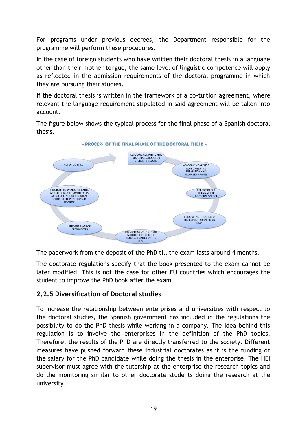For programs under previous decrees, the Department responsible for the programme will perform these procedures.

In the case of foreign students who have written their doctoral thesis in a language other than their mother tongue, the same level of linguistic competence will apply as reflected in the admission requirements of the doctoral programme in which they are pursuing their studies.

If the doctoral thesis is written in the framework of a co-tuition agreement, where relevant the language requirement stipulated in said agreement will be taken into account.

The figure below shows the typical process for the final phase of a Spanish doctoral thesis.



The paperwork from the deposit of the PhD till the exam lasts around 4 months.

The doctorate regulations specify that the book presented to the exam cannot be later modified. This is not the case for other EU countries which encourages the student to improve the PhD book after the exam.

# **2.2.5 Diversification of Doctoral studies**

To increase the relationship between enterprises and universities with respect to the doctoral studies, the Spanish government has included in the regulations the possibility to do the PhD thesis while working in a company. The idea behind this regulation is to involve the enterprises in the definition of the PhD topics. Therefore, the results of the PhD are directly transferred to the society. Different measures have pushed forward these industrial doctorates as it is the funding of the salary for the PhD candidate while doing the thesis in the enterprise. The HEI supervisor must agree with the tutorship at the enterprise the research topics and do the monitoring similar to other doctorate students doing the research at the university.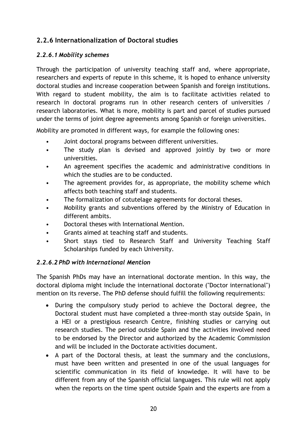# **2.2.6 Internationalization of Doctoral studies**

## *2.2.6.1 Mobility schemes*

Through the participation of university teaching staff and, where appropriate, researchers and experts of repute in this scheme, it is hoped to enhance university doctoral studies and increase cooperation between Spanish and foreign institutions. With regard to student mobility, the aim is to facilitate activities related to research in doctoral programs run in other research centers of universities / research laboratories. What is more, mobility is part and parcel of studies pursued under the terms of joint degree agreements among Spanish or foreign universities.

Mobility are promoted in different ways, for example the following ones:

- Joint doctoral programs between different universities.
- The study plan is devised and approved jointly by two or more universities.
- An agreement specifies the academic and administrative conditions in which the studies are to be conducted.
- The agreement provides for, as appropriate, the mobility scheme which affects both teaching staff and students.
- The formalization of cotutelage agreements for doctoral theses.
- Mobility grants and subventions offered by the Ministry of Education in different ambits.
- Doctoral theses with International Mention.
- Grants aimed at teaching staff and students.
- Short stays tied to Research Staff and University Teaching Staff Scholarships funded by each University.

## *2.2.6.2 PhD with International Mention*

The Spanish PhDs may have an international doctorate mention. In this way, the doctoral diploma might include the international doctorate ("Doctor international") mention on its reverse. The PhD defense should fulfill the following requirements:

- During the compulsory study period to achieve the Doctoral degree, the Doctoral student must have completed a three-month stay outside Spain, in a HEI or a prestigious research Centre, finishing studies or carrying out research studies. The period outside Spain and the activities involved need to be endorsed by the Director and authorized by the Academic Commission and will be included in the Doctorate activities document.
- A part of the Doctoral thesis, at least the summary and the conclusions, must have been written and presented in one of the usual languages for scientific communication in its field of knowledge. It will have to be different from any of the Spanish official languages. This rule will not apply when the reports on the time spent outside Spain and the experts are from a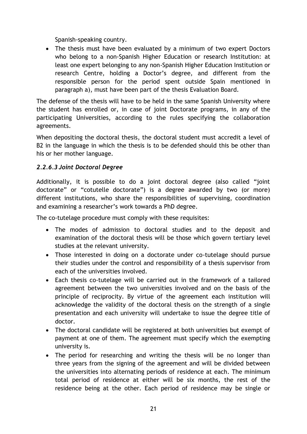Spanish-speaking country.

• The thesis must have been evaluated by a minimum of two expert Doctors who belong to a non-Spanish Higher Education or research Institution: at least one expert belonging to any non-Spanish Higher Education Institution or research Centre, holding a Doctor's degree, and different from the responsible person for the period spent outside Spain mentioned in paragraph a), must have been part of the thesis Evaluation Board.

The defense of the thesis will have to be held in the same Spanish University where the student has enrolled or, in case of joint Doctorate programs, in any of the participating Universities, according to the rules specifying the collaboration agreements.

When depositing the doctoral thesis, the doctoral student must accredit a level of B2 in the language in which the thesis is to be defended should this be other than his or her mother language.

## *2.2.6.3 Joint Doctoral Degree*

Additionally, it is possible to do a joint doctoral degree (also called "joint doctorate" or "cotutelle doctorate") is a degree awarded by two (or more) different institutions, who share the responsibilities of supervising, coordination and examining a researcher's work towards a PhD degree.

The co-tutelage procedure must comply with these requisites:

- The modes of admission to doctoral studies and to the deposit and examination of the doctoral thesis will be those which govern tertiary level studies at the relevant university.
- Those interested in doing on a doctorate under co-tutelage should pursue their studies under the control and responsibility of a thesis supervisor from each of the universities involved.
- Each thesis co-tutelage will be carried out in the framework of a tailored agreement between the two universities involved and on the basis of the principle of reciprocity. By virtue of the agreement each institution will acknowledge the validity of the doctoral thesis on the strength of a single presentation and each university will undertake to issue the degree title of doctor.
- The doctoral candidate will be registered at both universities but exempt of payment at one of them. The agreement must specify which the exempting university is.
- The period for researching and writing the thesis will be no longer than three years from the signing of the agreement and will be divided between the universities into alternating periods of residence at each. The minimum total period of residence at either will be six months, the rest of the residence being at the other. Each period of residence may be single or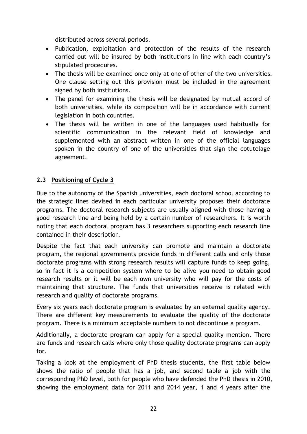distributed across several periods.

- Publication, exploitation and protection of the results of the research carried out will be insured by both institutions in line with each country's stipulated procedures.
- The thesis will be examined once only at one of other of the two universities. One clause setting out this provision must be included in the agreement signed by both institutions.
- The panel for examining the thesis will be designated by mutual accord of both universities, while its composition will be in accordance with current legislation in both countries.
- The thesis will be written in one of the languages used habitually for scientific communication in the relevant field of knowledge and supplemented with an abstract written in one of the official languages spoken in the country of one of the universities that sign the cotutelage agreement.

## **2.3 Positioning of Cycle 3**

Due to the autonomy of the Spanish universities, each doctoral school according to the strategic lines devised in each particular university proposes their doctorate programs. The doctoral research subjects are usually aligned with those having a good research line and being held by a certain number of researchers. It is worth noting that each doctoral program has 3 researchers supporting each research line contained in their description.

Despite the fact that each university can promote and maintain a doctorate program, the regional governments provide funds in different calls and only those doctorate programs with strong research results will capture funds to keep going, so in fact it is a competition system where to be alive you need to obtain good research results or it will be each own university who will pay for the costs of maintaining that structure. The funds that universities receive is related with research and quality of doctorate programs.

Every six years each doctorate program is evaluated by an external quality agency. There are different key measurements to evaluate the quality of the doctorate program. There is a minimum acceptable numbers to not discontinue a program.

Additionally, a doctorate program can apply for a special quality mention. There are funds and research calls where only those quality doctorate programs can apply for.

Taking a look at the employment of PhD thesis students, the first table below shows the ratio of people that has a job, and second table a job with the corresponding PhD level, both for people who have defended the PhD thesis in 2010, showing the employment data for 2011 and 2014 year, 1 and 4 years after the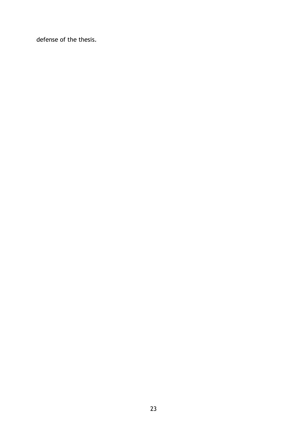defense of the thesis.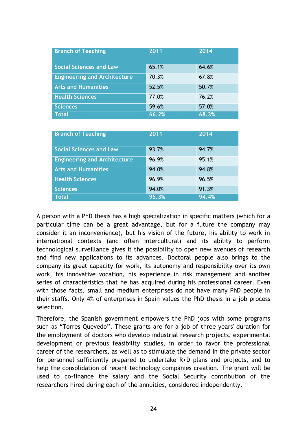| <b>Branch of Teaching</b>           | 2011  | 2014  |
|-------------------------------------|-------|-------|
| <b>Social Sciences and Law</b>      | 65.1% | 64.6% |
| <b>Engineering and Architecture</b> | 70.3% | 67.8% |
| <b>Arts and Humanities</b>          | 52.5% | 50.7% |
| <b>Health Sciences</b>              | 77.0% | 76.2% |
| <b>Sciences</b>                     | 59.6% | 57.0% |
| <b>Total</b>                        | 66.2% | 68.3% |

| <b>Branch of Teaching</b>           | 2011  | 2014  |
|-------------------------------------|-------|-------|
| <b>Social Sciences and Law</b>      | 93.7% | 94.7% |
| <b>Engineering and Architecture</b> | 96.9% | 95.1% |
| <b>Arts and Humanities</b>          | 94.0% | 94.8% |
| <b>Health Sciences</b>              | 96.9% | 96.5% |
| <b>Sciences</b>                     | 94.0% | 91.3% |
| <b>Total</b>                        | 95.3% | 94.4% |

A person with a PhD thesis has a high specialization in specific matters (which for a particular time can be a great advantage, but for a future the company may consider it an inconvenience), but his vision of the future, his ability to work in international contexts (and often intercultural) and its ability to perform technological surveillance gives it the possibility to open new avenues of research and find new applications to its advances. Doctoral people also brings to the company its great capacity for work, its autonomy and responsibility over its own work, his innovative vocation, his experience in risk management and another series of characteristics that he has acquired during his professional career. Even with those facts, small and medium enterprises do not have many PhD people in their staffs. Only 4% of enterprises in Spain values the PhD thesis in a job process selection.

Therefore, the Spanish government empowers the PhD jobs with some programs such as "Torres Quevedo". These grants are for a job of three years' duration for the employment of doctors who develop industrial research projects, experimental development or previous feasibility studies, in order to favor the professional career of the researchers, as well as to stimulate the demand in the private sector for personnel sufficiently prepared to undertake R+D plans and projects, and to help the consolidation of recent technology companies creation. The grant will be used to co-finance the salary and the Social Security contribution of the researchers hired during each of the annuities, considered independently.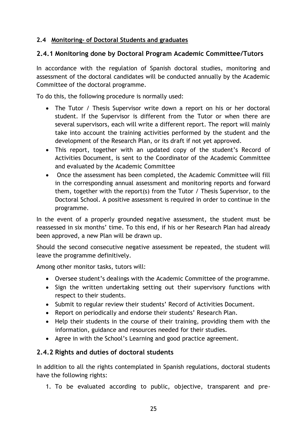## **2.4 Monitoring- of Doctoral Students and graduates**

# **2.4.1 Monitoring done by Doctoral Program Academic Committee/Tutors**

In accordance with the regulation of Spanish doctoral studies, monitoring and assessment of the doctoral candidates will be conducted annually by the Academic Committee of the doctoral programme.

To do this, the following procedure is normally used:

- The Tutor / Thesis Supervisor write down a report on his or her doctoral student. If the Supervisor is different from the Tutor or when there are several supervisors, each will write a different report. The report will mainly take into account the training activities performed by the student and the development of the Research Plan, or its draft if not yet approved.
- This report, together with an updated copy of the student's Record of Activities Document, is sent to the Coordinator of the Academic Committee and evaluated by the Academic Committee
- Once the assessment has been completed, the Academic Committee will fill in the corresponding annual assessment and monitoring reports and forward them, together with the report(s) from the Tutor / Thesis Supervisor, to the Doctoral School. A positive assessment is required in order to continue in the programme.

In the event of a properly grounded negative assessment, the student must be reassessed in six months' time. To this end, if his or her Research Plan had already been approved, a new Plan will be drawn up.

Should the second consecutive negative assessment be repeated, the student will leave the programme definitively.

Among other monitor tasks, tutors will:

- Oversee student's dealings with the Academic Committee of the programme.
- Sign the written undertaking setting out their supervisory functions with respect to their students.
- Submit to regular review their students' Record of Activities Document.
- Report on periodically and endorse their students' Research Plan.
- Help their students in the course of their training, providing them with the information, guidance and resources needed for their studies.
- Agree in with the School's Learning and good practice agreement.

# **2.4.2 Rights and duties of doctoral students**

In addition to all the rights contemplated in Spanish regulations, doctoral students have the following rights:

1. To be evaluated according to public, objective, transparent and pre-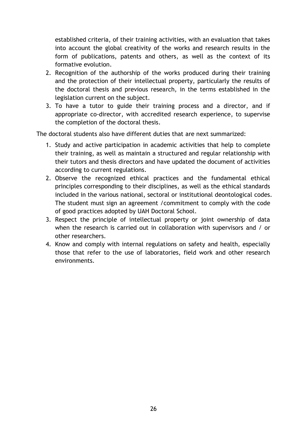established criteria, of their training activities, with an evaluation that takes into account the global creativity of the works and research results in the form of publications, patents and others, as well as the context of its formative evolution.

- 2. Recognition of the authorship of the works produced during their training and the protection of their intellectual property, particularly the results of the doctoral thesis and previous research, in the terms established in the legislation current on the subject.
- 3. To have a tutor to guide their training process and a director, and if appropriate co-director, with accredited research experience, to supervise the completion of the doctoral thesis.

The doctoral students also have different duties that are next summarized:

- 1. Study and active participation in academic activities that help to complete their training, as well as maintain a structured and regular relationship with their tutors and thesis directors and have updated the document of activities according to current regulations.
- 2. Observe the recognized ethical practices and the fundamental ethical principles corresponding to their disciplines, as well as the ethical standards included in the various national, sectoral or institutional deontological codes. The student must sign an agreement /commitment to comply with the code of good practices adopted by UAH Doctoral School.
- 3. Respect the principle of intellectual property or joint ownership of data when the research is carried out in collaboration with supervisors and / or other researchers.
- 4. Know and comply with internal regulations on safety and health, especially those that refer to the use of laboratories, field work and other research environments.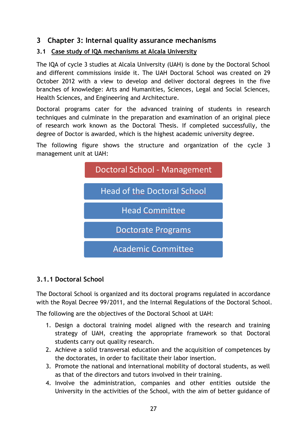# **3 Chapter 3: Internal quality assurance mechanisms**

## **3.1 Case study of IQA mechanisms at Alcala University**

The IQA of cycle 3 studies at Alcala University (UAH) is done by the Doctoral School and different commissions inside it. The UAH Doctoral School was created on 29 October 2012 with a view to develop and deliver doctoral degrees in the five branches of knowledge: Arts and Humanities, Sciences, Legal and Social Sciences, Health Sciences, and Engineering and Architecture.

Doctoral programs cater for the advanced training of students in research techniques and culminate in the preparation and examination of an original piece of research work known as the Doctoral Thesis. If completed successfully, the degree of Doctor is awarded, which is the highest academic university degree.

The following figure shows the structure and organization of the cycle 3 management unit at UAH:



# **3.1.1 Doctoral School**

The Doctoral School is organized and its doctoral programs regulated in accordance with the Royal Decree 99/2011, and the Internal Regulations of the Doctoral School.

The following are the objectives of the Doctoral School at UAH:

- 1. Design a doctoral training model aligned with the research and training strategy of UAH, creating the appropriate framework so that Doctoral students carry out quality research.
- 2. Achieve a solid transversal education and the acquisition of competences by the doctorates, in order to facilitate their labor insertion.
- 3. Promote the national and international mobility of doctoral students, as well as that of the directors and tutors involved in their training.
- 4. Involve the administration, companies and other entities outside the University in the activities of the School, with the aim of better guidance of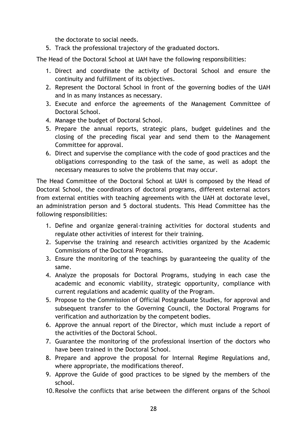the doctorate to social needs.

5. Track the professional trajectory of the graduated doctors.

The Head of the Doctoral School at UAH have the following responsibilities:

- 1. Direct and coordinate the activity of Doctoral School and ensure the continuity and fulfillment of its objectives.
- 2. Represent the Doctoral School in front of the governing bodies of the UAH and in as many instances as necessary.
- 3. Execute and enforce the agreements of the Management Committee of Doctoral School.
- 4. Manage the budget of Doctoral School.
- 5. Prepare the annual reports, strategic plans, budget guidelines and the closing of the preceding fiscal year and send them to the Management Committee for approval.
- 6. Direct and supervise the compliance with the code of good practices and the obligations corresponding to the task of the same, as well as adopt the necessary measures to solve the problems that may occur.

The Head Committee of the Doctoral School at UAH is composed by the Head of Doctoral School, the coordinators of doctoral programs, different external actors from external entities with teaching agreements with the UAH at doctorate level, an administration person and 5 doctoral students. This Head Committee has the following responsibilities:

- 1. Define and organize general-training activities for doctoral students and regulate other activities of interest for their training.
- 2. Supervise the training and research activities organized by the Academic Commissions of the Doctoral Programs.
- 3. Ensure the monitoring of the teachings by guaranteeing the quality of the same.
- 4. Analyze the proposals for Doctoral Programs, studying in each case the academic and economic viability, strategic opportunity, compliance with current regulations and academic quality of the Program.
- 5. Propose to the Commission of Official Postgraduate Studies, for approval and subsequent transfer to the Governing Council, the Doctoral Programs for verification and authorization by the competent bodies.
- 6. Approve the annual report of the Director, which must include a report of the activities of the Doctoral School.
- 7. Guarantee the monitoring of the professional insertion of the doctors who have been trained in the Doctoral School.
- 8. Prepare and approve the proposal for Internal Regime Regulations and, where appropriate, the modifications thereof.
- 9. Approve the Guide of good practices to be signed by the members of the school.
- 10.Resolve the conflicts that arise between the different organs of the School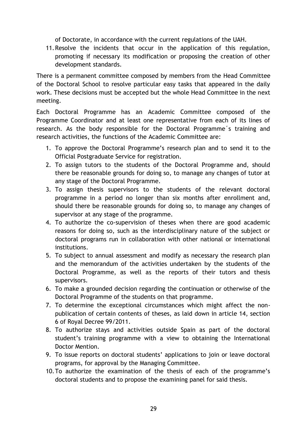of Doctorate, in accordance with the current regulations of the UAH.

11.Resolve the incidents that occur in the application of this regulation, promoting if necessary its modification or proposing the creation of other development standards.

There is a permanent committee composed by members from the Head Committee of the Doctoral School to resolve particular easy tasks that appeared in the daily work. These decisions must be accepted but the whole Head Committee in the next meeting.

Each Doctoral Programme has an Academic Committee composed of the Programme Coordinator and at least one representative from each of its lines of research. As the body responsible for the Doctoral Programme´s training and research activities, the functions of the Academic Committee are:

- 1. To approve the Doctoral Programme's research plan and to send it to the Official Postgraduate Service for registration.
- 2. To assign tutors to the students of the Doctoral Programme and, should there be reasonable grounds for doing so, to manage any changes of tutor at any stage of the Doctoral Programme.
- 3. To assign thesis supervisors to the students of the relevant doctoral programme in a period no longer than six months after enrollment and, should there be reasonable grounds for doing so, to manage any changes of supervisor at any stage of the programme.
- 4. To authorize the co-supervision of theses when there are good academic reasons for doing so, such as the interdisciplinary nature of the subject or doctoral programs run in collaboration with other national or international institutions.
- 5. To subject to annual assessment and modify as necessary the research plan and the memorandum of the activities undertaken by the students of the Doctoral Programme, as well as the reports of their tutors and thesis supervisors.
- 6. To make a grounded decision regarding the continuation or otherwise of the Doctoral Programme of the students on that programme.
- 7. To determine the exceptional circumstances which might affect the nonpublication of certain contents of theses, as laid down in article 14, section 6 of Royal Decree 99/2011.
- 8. To authorize stays and activities outside Spain as part of the doctoral student's training programme with a view to obtaining the International Doctor Mention.
- 9. To issue reports on doctoral students' applications to join or leave doctoral programs, for approval by the Managing Committee.
- 10.To authorize the examination of the thesis of each of the programme's doctoral students and to propose the examining panel for said thesis.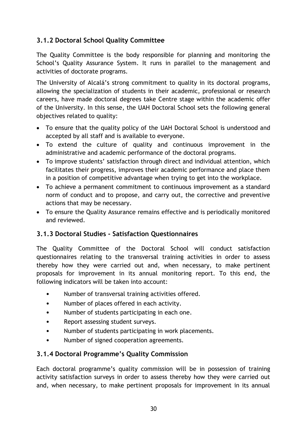# **3.1.2 Doctoral School Quality Committee**

The Quality Committee is the body responsible for planning and monitoring the School's Quality Assurance System. It runs in parallel to the management and activities of doctorate programs.

The University of Alcalá's strong commitment to quality in its doctoral programs, allowing the specialization of students in their academic, professional or research careers, have made doctoral degrees take Centre stage within the academic offer of the University. In this sense, the UAH Doctoral School sets the following general objectives related to quality:

- To ensure that the quality policy of the UAH Doctoral School is understood and accepted by all staff and is available to everyone.
- To extend the culture of quality and continuous improvement in the administrative and academic performance of the doctoral programs.
- To improve students' satisfaction through direct and individual attention, which facilitates their progress, improves their academic performance and place them in a position of competitive advantage when trying to get into the workplace.
- To achieve a permanent commitment to continuous improvement as a standard norm of conduct and to propose, and carry out, the corrective and preventive actions that may be necessary.
- To ensure the Quality Assurance remains effective and is periodically monitored and reviewed.

# **3.1.3 Doctoral Studies - Satisfaction Questionnaires**

The Quality Committee of the Doctoral School will conduct satisfaction questionnaires relating to the transversal training activities in order to assess thereby how they were carried out and, when necessary, to make pertinent proposals for improvement in its annual monitoring report. To this end, the following indicators will be taken into account:

- Number of transversal training activities offered.
- Number of places offered in each activity.
- Number of students participating in each one.
- Report assessing student surveys.
- Number of students participating in work placements.
- Number of signed cooperation agreements.

## **3.1.4 Doctoral Programme's Quality Commission**

Each doctoral programme's quality commission will be in possession of training activity satisfaction surveys in order to assess thereby how they were carried out and, when necessary, to make pertinent proposals for improvement in its annual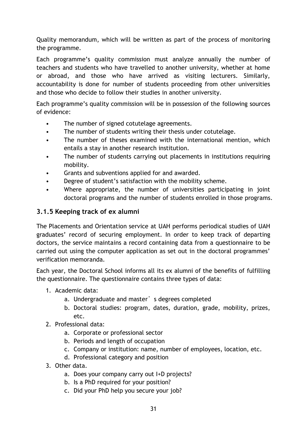Quality memorandum, which will be written as part of the process of monitoring the programme.

Each programme's quality commission must analyze annually the number of teachers and students who have travelled to another university, whether at home or abroad, and those who have arrived as visiting lecturers. Similarly, accountability is done for number of students proceeding from other universities and those who decide to follow their studies in another university.

Each programme's quality commission will be in possession of the following sources of evidence:

- The number of signed cotutelage agreements.
- The number of students writing their thesis under cotutelage.
- The number of theses examined with the international mention, which entails a stay in another research institution.
- The number of students carrying out placements in institutions requiring mobility.
- Grants and subventions applied for and awarded.
- Degree of student's satisfaction with the mobility scheme.
- Where appropriate, the number of universities participating in joint doctoral programs and the number of students enrolled in those programs.

# **3.1.5 Keeping track of ex alumni**

The Placements and Orientation service at UAH performs periodical studies of UAH graduates' record of securing employment. In order to keep track of departing doctors, the service maintains a record containing data from a questionnaire to be carried out using the computer application as set out in the doctoral programmes' verification memoranda.

Each year, the Doctoral School informs all its ex alumni of the benefits of fulfilling the questionnaire. The questionnaire contains three types of data:

- 1. Academic data:
	- a. Undergraduate and master's degrees completed
	- b. Doctoral studies: program, dates, duration, grade, mobility, prizes, etc.
- 2. Professional data:
	- a. Corporate or professional sector
	- b. Periods and length of occupation
	- c. Company or institution: name, number of employees, location, etc.
	- d. Professional category and position
- 3. Other data.
	- a. Does your company carry out I+D projects?
	- b. Is a PhD required for your position?
	- c. Did your PhD help you secure your job?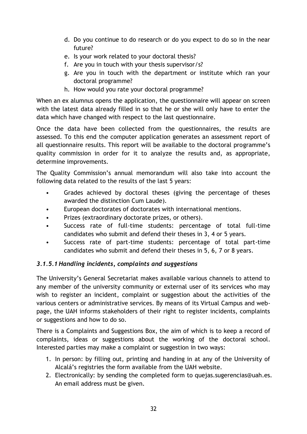- d. Do you continue to do research or do you expect to do so in the near future?
- e. Is your work related to your doctoral thesis?
- f. Are you in touch with your thesis supervisor/s?
- g. Are you in touch with the department or institute which ran your doctoral programme?
- h. How would you rate your doctoral programme?

When an ex alumnus opens the application, the questionnaire will appear on screen with the latest data already filled in so that he or she will only have to enter the data which have changed with respect to the last questionnaire.

Once the data have been collected from the questionnaires, the results are assessed. To this end the computer application generates an assessment report of all questionnaire results. This report will be available to the doctoral programme's quality commission in order for it to analyze the results and, as appropriate, determine improvements.

The Quality Commission's annual memorandum will also take into account the following data related to the results of the last 5 years:

- Grades achieved by doctoral theses (giving the percentage of theses awarded the distinction Cum Laude).
- European doctorates of doctorates with international mentions.
- Prizes (extraordinary doctorate prizes, or others).
- Success rate of full-time students: percentage of total full-time candidates who submit and defend their theses in 3, 4 or 5 years.
- Success rate of part-time students: percentage of total part-time candidates who submit and defend their theses in 5, 6, 7 or 8 years.

## *3.1.5.1 Handling incidents, complaints and suggestions*

The University's General Secretariat makes available various channels to attend to any member of the university community or external user of its services who may wish to register an incident, complaint or suggestion about the activities of the various centers or administrative services. By means of its Virtual Campus and webpage, the UAH informs stakeholders of their right to register incidents, complaints or suggestions and how to do so.

There is a Complaints and Suggestions Box, the aim of which is to keep a record of complaints, ideas or suggestions about the working of the doctoral school. Interested parties may make a complaint or suggestion in two ways:

- 1. In person: by filling out, printing and handing in at any of the University of Alcalá's registries the form available from the UAH website.
- 2. Electronically: by sending the completed form to quejas.sugerencias@uah.es. An email address must be given.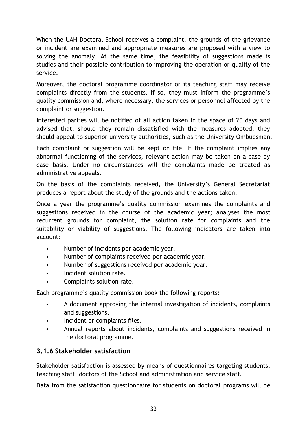When the UAH Doctoral School receives a complaint, the grounds of the grievance or incident are examined and appropriate measures are proposed with a view to solving the anomaly. At the same time, the feasibility of suggestions made is studies and their possible contribution to improving the operation or quality of the service.

Moreover, the doctoral programme coordinator or its teaching staff may receive complaints directly from the students. If so, they must inform the programme's quality commission and, where necessary, the services or personnel affected by the complaint or suggestion.

Interested parties will be notified of all action taken in the space of 20 days and advised that, should they remain dissatisfied with the measures adopted, they should appeal to superior university authorities, such as the University Ombudsman.

Each complaint or suggestion will be kept on file. If the complaint implies any abnormal functioning of the services, relevant action may be taken on a case by case basis. Under no circumstances will the complaints made be treated as administrative appeals.

On the basis of the complaints received, the University's General Secretariat produces a report about the study of the grounds and the actions taken.

Once a year the programme's quality commission examines the complaints and suggestions received in the course of the academic year; analyses the most recurrent grounds for complaint, the solution rate for complaints and the suitability or viability of suggestions. The following indicators are taken into account:

- Number of incidents per academic year.
- Number of complaints received per academic year.
- Number of suggestions received per academic year.
- Incident solution rate.
- Complaints solution rate.

Each programme's quality commission book the following reports:

- A document approving the internal investigation of incidents, complaints and suggestions.
- Incident or complaints files.
- Annual reports about incidents, complaints and suggestions received in the doctoral programme.

# **3.1.6 Stakeholder satisfaction**

Stakeholder satisfaction is assessed by means of questionnaires targeting students, teaching staff, doctors of the School and administration and service staff.

Data from the satisfaction questionnaire for students on doctoral programs will be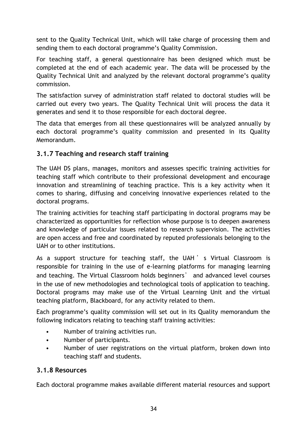sent to the Quality Technical Unit, which will take charge of processing them and sending them to each doctoral programme's Quality Commission.

For teaching staff, a general questionnaire has been designed which must be completed at the end of each academic year. The data will be processed by the Quality Technical Unit and analyzed by the relevant doctoral programme's quality commission.

The satisfaction survey of administration staff related to doctoral studies will be carried out every two years. The Quality Technical Unit will process the data it generates and send it to those responsible for each doctoral degree.

The data that emerges from all these questionnaires will be analyzed annually by each doctoral programme's quality commission and presented in its Quality Memorandum.

# **3.1.7 Teaching and research staff training**

The UAH DS plans, manages, monitors and assesses specific training activities for teaching staff which contribute to their professional development and encourage innovation and streamlining of teaching practice. This is a key activity when it comes to sharing, diffusing and conceiving innovative experiences related to the doctoral programs.

The training activities for teaching staff participating in doctoral programs may be characterized as opportunities for reflection whose purpose is to deepen awareness and knowledge of particular issues related to research supervision. The activities are open access and free and coordinated by reputed professionals belonging to the UAH or to other institutions.

As a support structure for teaching staff, the UAH 's Virtual Classroom is responsible for training in the use of e-learning platforms for managing learning and teaching. The Virtual Classroom holds beginners' and advanced level courses in the use of new methodologies and technological tools of application to teaching. Doctoral programs may make use of the Virtual Learning Unit and the virtual teaching platform, Blackboard, for any activity related to them.

Each programme's quality commission will set out in its Quality memorandum the following indicators relating to teaching staff training activities:

- Number of training activities run.
- Number of participants.
- Number of user registrations on the virtual platform, broken down into teaching staff and students.

## **3.1.8 Resources**

Each doctoral programme makes available different material resources and support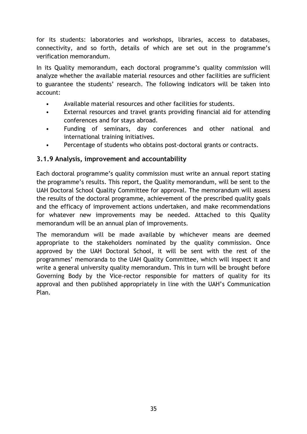for its students: laboratories and workshops, libraries, access to databases, connectivity, and so forth, details of which are set out in the programme's verification memorandum.

In its Quality memorandum, each doctoral programme's quality commission will analyze whether the available material resources and other facilities are sufficient to guarantee the students' research. The following indicators will be taken into account:

- Available material resources and other facilities for students.
- External resources and travel grants providing financial aid for attending conferences and for stays abroad.
- Funding of seminars, day conferences and other national and international training initiatives.
- Percentage of students who obtains post-doctoral grants or contracts.

## **3.1.9 Analysis, improvement and accountability**

Each doctoral programme's quality commission must write an annual report stating the programme's results. This report, the Quality memorandum, will be sent to the UAH Doctoral School Quality Committee for approval. The memorandum will assess the results of the doctoral programme, achievement of the prescribed quality goals and the efficacy of improvement actions undertaken, and make recommendations for whatever new improvements may be needed. Attached to this Quality memorandum will be an annual plan of improvements.

The memorandum will be made available by whichever means are deemed appropriate to the stakeholders nominated by the quality commission. Once approved by the UAH Doctoral School, it will be sent with the rest of the programmes' memoranda to the UAH Quality Committee, which will inspect it and write a general university quality memorandum. This in turn will be brought before Governing Body by the Vice-rector responsible for matters of quality for its approval and then published appropriately in line with the UAH's Communication Plan.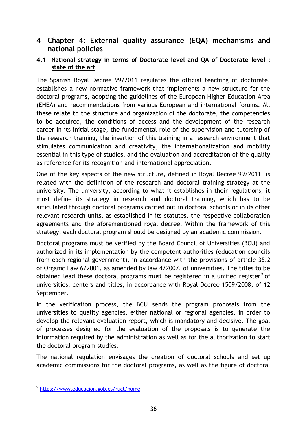# **4 Chapter 4: External quality assurance (EQA) mechanisms and national policies**

### **4.1 National strategy in terms of Doctorate level and QA of Doctorate level : state of the art**

The Spanish Royal Decree 99/2011 regulates the official teaching of doctorate, establishes a new normative framework that implements a new structure for the doctoral programs, adopting the guidelines of the European Higher Education Area (EHEA) and recommendations from various European and international forums. All these relate to the structure and organization of the doctorate, the competencies to be acquired, the conditions of access and the development of the research career in its initial stage, the fundamental role of the supervision and tutorship of the research training, the insertion of this training in a research environment that stimulates communication and creativity, the internationalization and mobility essential in this type of studies, and the evaluation and accreditation of the quality as reference for its recognition and international appreciation.

One of the key aspects of the new structure, defined in Royal Decree 99/2011, is related with the definition of the research and doctoral training strategy at the university. The university, according to what it establishes in their regulations, it must define its strategy in research and doctoral training, which has to be articulated through doctoral programs carried out in doctoral schools or in its other relevant research units, as established in its statutes, the respective collaboration agreements and the aforementioned royal decree. Within the framework of this strategy, each doctoral program should be designed by an academic commission.

Doctoral programs must be verified by the Board Council of Universities (BCU) and authorized in its implementation by the competent authorities (education councils from each regional government), in accordance with the provisions of article 35.2 of Organic Law 6/2001, as amended by law 4/2007, of universities. The titles to be obtained lead these doctoral programs must be registered in a unified register<sup>9</sup> of universities, centers and titles, in accordance with Royal Decree 1509/2008, of 12 September.

In the verification process, the BCU sends the program proposals from the universities to quality agencies, either national or regional agencies, in order to develop the relevant evaluation report, which is mandatory and decisive. The goal of processes designed for the evaluation of the proposals is to generate the information required by the administration as well as for the authorization to start the doctoral program studies.

The national regulation envisages the creation of doctoral schools and set up academic commissions for the doctoral programs, as well as the figure of doctoral

 $\overline{a}$ 

<sup>9</sup> <https://www.educacion.gob.es/ruct/home>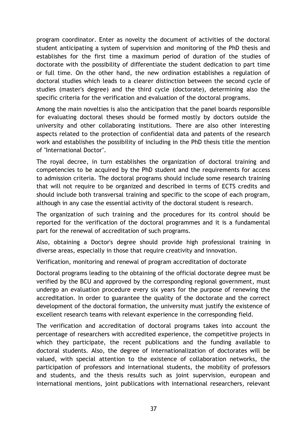program coordinator. Enter as novelty the document of activities of the doctoral student anticipating a system of supervision and monitoring of the PhD thesis and establishes for the first time a maximum period of duration of the studies of doctorate with the possibility of differentiate the student dedication to part time or full time. On the other hand, the new ordination establishes a regulation of doctoral studies which leads to a clearer distinction between the second cycle of studies (master's degree) and the third cycle (doctorate), determining also the specific criteria for the verification and evaluation of the doctoral programs.

Among the main novelties is also the anticipation that the panel boards responsible for evaluating doctoral theses should be formed mostly by doctors outside the university and other collaborating institutions. There are also other interesting aspects related to the protection of confidential data and patents of the research work and establishes the possibility of including in the PhD thesis title the mention of "International Doctor".

The royal decree, in turn establishes the organization of doctoral training and competencies to be acquired by the PhD student and the requirements for access to admission criteria. The doctoral programs should include some research training that will not require to be organized and described in terms of ECTS credits and should include both transversal training and specific to the scope of each program, although in any case the essential activity of the doctoral student is research.

The organization of such training and the procedures for its control should be reported for the verification of the doctoral programmes and it is a fundamental part for the renewal of accreditation of such programs.

Also, obtaining a Doctor's degree should provide high professional training in diverse areas, especially in those that require creativity and innovation.

Verification, monitoring and renewal of program accreditation of doctorate

Doctoral programs leading to the obtaining of the official doctorate degree must be verified by the BCU and approved by the corresponding regional government, must undergo an evaluation procedure every six years for the purpose of renewing the accreditation. In order to guarantee the quality of the doctorate and the correct development of the doctoral formation, the university must justify the existence of excellent research teams with relevant experience in the corresponding field.

The verification and accreditation of doctoral programs takes into account the percentage of researchers with accredited experience, the competitive projects in which they participate, the recent publications and the funding available to doctoral students. Also, the degree of internationalization of doctorates will be valued, with special attention to the existence of collaboration networks, the participation of professors and international students, the mobility of professors and students, and the thesis results such as joint supervision, european and international mentions, joint publications with international researchers, relevant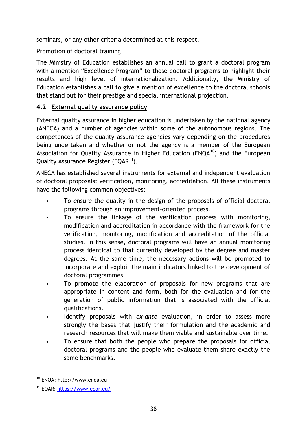seminars, or any other criteria determined at this respect.

Promotion of doctoral training

The Ministry of Education establishes an annual call to grant a doctoral program with a mention "Excellence Program" to those doctoral programs to highlight their results and high level of internationalization. Additionally, the Ministry of Education establishes a call to give a mention of excellence to the doctoral schools that stand out for their prestige and special international projection.

## **4.2 External quality assurance policy**

External quality assurance in higher education is undertaken by the national agency (ANECA) and a number of agencies within some of the autonomous regions. The competences of the quality assurance agencies vary depending on the procedures being undertaken and whether or not the agency is a member of the European Association for Quality Assurance in Higher Education ( $ENOA^{10}$ ) and the European Quality Assurance Register (EQAR<sup>11</sup>).

ANECA has established several instruments for external and independent evaluation of doctoral proposals: verification, monitoring, accreditation. All these instruments have the following common objectives:

- To ensure the quality in the design of the proposals of official doctoral programs through an improvement-oriented process.
- To ensure the linkage of the verification process with monitoring, modification and accreditation in accordance with the framework for the verification, monitoring, modification and accreditation of the official studies. In this sense, doctoral programs will have an annual monitoring process identical to that currently developed by the degree and master degrees. At the same time, the necessary actions will be promoted to incorporate and exploit the main indicators linked to the development of doctoral programmes.
- To promote the elaboration of proposals for new programs that are appropriate in content and form, both for the evaluation and for the generation of public information that is associated with the official qualifications.
- Identify proposals with *ex-ante* evaluation, in order to assess more strongly the bases that justify their formulation and the academic and research resources that will make them viable and sustainable over time.
- To ensure that both the people who prepare the proposals for official doctoral programs and the people who evaluate them share exactly the same benchmarks.

-

<sup>10</sup> ENQA: http://www.enqa.eu

<sup>11</sup> EQAR:<https://www.eqar.eu/>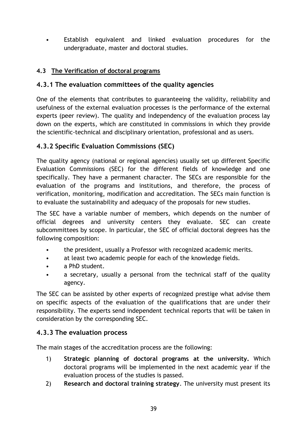• Establish equivalent and linked evaluation procedures for the undergraduate, master and doctoral studies.

# **4.3 The Verification of doctoral programs**

# **4.3.1 The evaluation committees of the quality agencies**

One of the elements that contributes to guaranteeing the validity, reliability and usefulness of the external evaluation processes is the performance of the external experts (peer review). The quality and independency of the evaluation process lay down on the experts, which are constituted in commissions in which they provide the scientific-technical and disciplinary orientation, professional and as users.

# **4.3.2 Specific Evaluation Commissions (SEC)**

The quality agency (national or regional agencies) usually set up different Specific Evaluation Commissions (SEC) for the different fields of knowledge and one specifically. They have a permanent character. The SECs are responsible for the evaluation of the programs and institutions, and therefore, the process of verification, monitoring, modification and accreditation. The SECs main function is to evaluate the sustainability and adequacy of the proposals for new studies.

The SEC have a variable number of members, which depends on the number of official degrees and university centers they evaluate. SEC can create subcommittees by scope. In particular, the SEC of official doctoral degrees has the following composition:

- the president, usually a Professor with recognized academic merits.
- at least two academic people for each of the knowledge fields.
- a PhD student.
- a secretary, usually a personal from the technical staff of the quality agency.

The SEC can be assisted by other experts of recognized prestige what advise them on specific aspects of the evaluation of the qualifications that are under their responsibility. The experts send independent technical reports that will be taken in consideration by the corresponding SEC.

## **4.3.3 The evaluation process**

The main stages of the accreditation process are the following:

- 1) **Strategic planning of doctoral programs at the university.** Which doctoral programs will be implemented in the next academic year if the evaluation process of the studies is passed.
- 2) **Research and doctoral training strategy**. The university must present its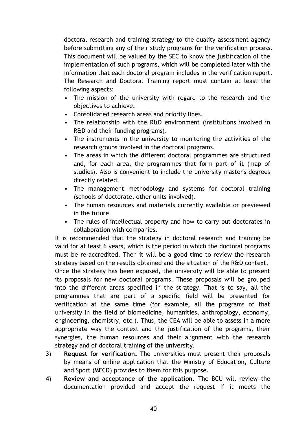doctoral research and training strategy to the quality assessment agency before submitting any of their study programs for the verification process. This document will be valued by the SEC to know the justification of the implementation of such programs, which will be completed later with the information that each doctoral program includes in the verification report. The Research and Doctoral Training report must contain at least the following aspects:

- The mission of the university with regard to the research and the objectives to achieve.
- Consolidated research areas and priority lines.
- The relationship with the R&D environment (institutions involved in R&D and their funding programs).
- The instruments in the university to monitoring the activities of the research groups involved in the doctoral programs.
- The areas in which the different doctoral programmes are structured and, for each area, the programmes that form part of it (map of studies). Also is convenient to include the university master's degrees directly related.
- The management methodology and systems for doctoral training (schools of doctorate, other units involved).
- The human resources and materials currently available or previewed in the future.
- The rules of intellectual property and how to carry out doctorates in collaboration with companies.

It is recommended that the strategy in doctoral research and training be valid for at least 6 years, which is the period in which the doctoral programs must be re-accredited. Then it will be a good time to review the research strategy based on the results obtained and the situation of the R&D context.

Once the strategy has been exposed, the university will be able to present its proposals for new doctoral programs. These proposals will be grouped into the different areas specified in the strategy. That is to say, all the programmes that are part of a specific field will be presented for verification at the same time (for example, all the programs of that university in the field of biomedicine, humanities, anthropology, economy, engineering, chemistry, etc.). Thus, the CEA will be able to assess in a more appropriate way the context and the justification of the programs, their synergies, the human resources and their alignment with the research strategy and of doctoral training of the university.

- 3) **Request for verification.** The universities must present their proposals by means of online application that the Ministry of Education, Culture and Sport (MECD) provides to them for this purpose.
- 4) **Review and acceptance of the application.** The BCU will review the documentation provided and accept the request if it meets the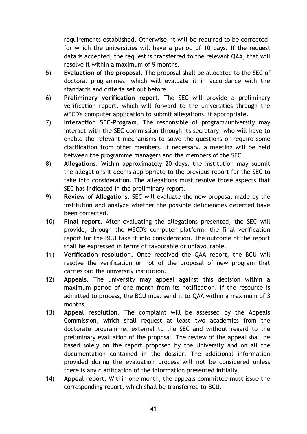requirements established. Otherwise, it will be required to be corrected, for which the universities will have a period of 10 days. If the request data is accepted, the request is transferred to the relevant QAA, that will resolve it within a maximum of 9 months.

- 5) **Evaluation of the proposal.** The proposal shall be allocated to the SEC of doctoral programmes, which will evaluate it in accordance with the standards and criteria set out before.
- 6) **Preliminary verification report.** The SEC will provide a preliminary verification report, which will forward to the universities through the MECD's computer application to submit allegations, if appropriate.
- 7) **Interaction SEC-Program.** The responsible of program/university may interact with the SEC commission through its secretary, who will have to enable the relevant mechanisms to solve the questions or require some clarification from other members. If necessary, a meeting will be held between the programme managers and the members of the SEC.
- 8) **Allegations**. Within approximately 20 days, the institution may submit the allegations it deems appropriate to the previous report for the SEC to take into consideration. The allegations must resolve those aspects that SEC has indicated in the preliminary report.
- 9) **Review of Allegations.** SEC will evaluate the new proposal made by the institution and analyze whether the possible deficiencies detected have been corrected.
- 10) **Final report.** After evaluating the allegations presented, the SEC will provide, through the MECD's computer platform, the final verification report for the BCU take it into consideration. The outcome of the report shall be expressed in terms of favourable or unfavourable.
- 11) **Verification resolution.** Once received the QAA report, the BCU will resolve the verification or not of the proposal of new program that carries out the university institution.
- 12) **Appeals**. The university may appeal against this decision within a maximum period of one month from its notification. If the resource is admitted to process, the BCU must send it to QAA within a maximum of 3 months.
- 13) **Appeal resolution**. The complaint will be assessed by the Appeals Commission, which shall request at least two academics from the doctorate programme, external to the SEC and without regard to the preliminary evaluation of the proposal. The review of the appeal shall be based solely on the report proposed by the University and on all the documentation contained in the dossier. The additional information provided during the evaluation process will not be considered unless there is any clarification of the information presented initially.
- 14) **Appeal report.** Within one month, the appeals committee must issue the corresponding report, which shall be transferred to BCU.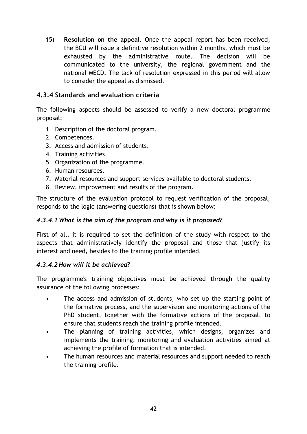15) **Resolution on the appeal.** Once the appeal report has been received, the BCU will issue a definitive resolution within 2 months, which must be exhausted by the administrative route. The decision will be communicated to the university, the regional government and the national MECD. The lack of resolution expressed in this period will allow to consider the appeal as dismissed.

## **4.3.4 Standards and evaluation criteria**

The following aspects should be assessed to verify a new doctoral programme proposal:

- 1. Description of the doctoral program.
- 2. Competences.
- 3. Access and admission of students.
- 4. Training activities.
- 5. Organization of the programme.
- 6. Human resources.
- 7. Material resources and support services available to doctoral students.
- 8. Review, improvement and results of the program.

The structure of the evaluation protocol to request verification of the proposal, responds to the logic (answering questions) that is shown below:

#### *4.3.4.1 What is the aim of the program and why is it proposed?*

First of all, it is required to set the definition of the study with respect to the aspects that administratively identify the proposal and those that justify its interest and need, besides to the training profile intended.

#### *4.3.4.2 How will it be achieved?*

The programme's training objectives must be achieved through the quality assurance of the following processes:

- The access and admission of students, who set up the starting point of the formative process, and the supervision and monitoring actions of the PhD student, together with the formative actions of the proposal, to ensure that students reach the training profile intended.
- The planning of training activities, which designs, organizes and implements the training, monitoring and evaluation activities aimed at achieving the profile of formation that is intended.
- The human resources and material resources and support needed to reach the training profile.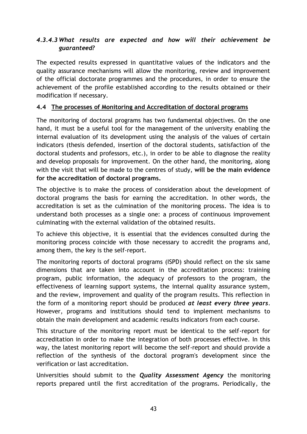# *4.3.4.3 What results are expected and how will their achievement be guaranteed?*

The expected results expressed in quantitative values of the indicators and the quality assurance mechanisms will allow the monitoring, review and improvement of the official doctorate programmes and the procedures, in order to ensure the achievement of the profile established according to the results obtained or their modification if necessary.

### **4.4 The processes of Monitoring and Accreditation of doctoral programs**

The monitoring of doctoral programs has two fundamental objectives. On the one hand, it must be a useful tool for the management of the university enabling the internal evaluation of its development using the analysis of the values of certain indicators (thesis defended, insertion of the doctoral students, satisfaction of the doctoral students and professors, etc.), in order to be able to diagnose the reality and develop proposals for improvement. On the other hand, the monitoring, along with the visit that will be made to the centres of study, **will be the main evidence for the accreditation of doctoral programs.**

The objective is to make the process of consideration about the development of doctoral programs the basis for earning the accreditation. In other words, the accreditation is set as the culmination of the monitoring process. The idea is to understand both processes as a single one: a process of continuous improvement culminating with the external validation of the obtained results.

To achieve this objective, it is essential that the evidences consulted during the monitoring process coincide with those necessary to accredit the programs and, among them, the key is the self-report.

The monitoring reports of doctoral programs (ISPD) should reflect on the six same dimensions that are taken into account in the accreditation process: training program, public information, the adequacy of professors to the program, the effectiveness of learning support systems, the internal quality assurance system, and the review, improvement and quality of the program results. This reflection in the form of a monitoring report should be produced *at least every three years*. However, programs and institutions should tend to implement mechanisms to obtain the main development and academic results indicators from each course.

This structure of the monitoring report must be identical to the self-report for accreditation in order to make the integration of both processes effective. In this way, the latest monitoring report will become the self-report and should provide a reflection of the synthesis of the doctoral program's development since the verification or last accreditation.

Universities should submit to the *Quality Assessment Agency* the monitoring reports prepared until the first accreditation of the programs. Periodically, the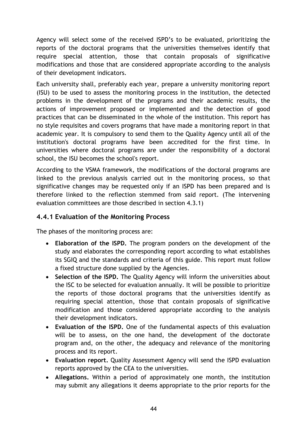Agency will select some of the received ISPD's to be evaluated, prioritizing the reports of the doctoral programs that the universities themselves identify that require special attention, those that contain proposals of significative modifications and those that are considered appropriate according to the analysis of their development indicators.

Each university shall, preferably each year, prepare a university monitoring report (ISU) to be used to assess the monitoring process in the institution, the detected problems in the development of the programs and their academic results, the actions of improvement proposed or implemented and the detection of good practices that can be disseminated in the whole of the institution. This report has no style requisites and covers programs that have made a monitoring report in that academic year. It is compulsory to send them to the Quality Agency until all of the institution's doctoral programs have been accredited for the first time. In universities where doctoral programs are under the responsibility of a doctoral school, the ISU becomes the school's report.

According to the VSMA framework, the modifications of the doctoral programs are linked to the previous analysis carried out in the monitoring process, so that significative changes may be requested only if an ISPD has been prepared and is therefore linked to the reflection stemmed from said report. (The intervening evaluation committees are those described in section 4.3.1)

# **4.4.1 Evaluation of the Monitoring Process**

The phases of the monitoring process are:

- **Elaboration of the ISPD.** The program ponders on the development of the study and elaborates the corresponding report according to what establishes its SGIQ and the standards and criteria of this guide. This report must follow a fixed structure done supplied by the Agencies.
- **Selection of the ISPD.** The Quality Agency will inform the universities about the ISC to be selected for evaluation annually. It will be possible to prioritize the reports of those doctoral programs that the universities identify as requiring special attention, those that contain proposals of significative modification and those considered appropriate according to the analysis their development indicators.
- **Evaluation of the ISPD.** One of the fundamental aspects of this evaluation will be to assess, on the one hand, the development of the doctorate program and, on the other, the adequacy and relevance of the monitoring process and its report.
- **Evaluation report.** Quality Assessment Agency will send the ISPD evaluation reports approved by the CEA to the universities.
- **Allegations.** Within a period of approximately one month, the institution may submit any allegations it deems appropriate to the prior reports for the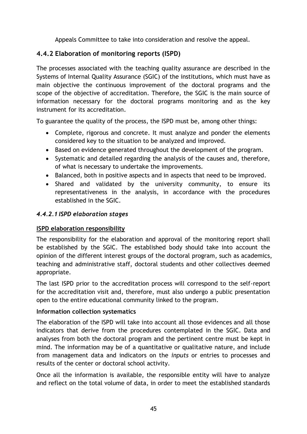Appeals Committee to take into consideration and resolve the appeal.

# **4.4.2 Elaboration of monitoring reports (ISPD)**

The processes associated with the teaching quality assurance are described in the Systems of Internal Quality Assurance (SGIC) of the institutions, which must have as main objective the continuous improvement of the doctoral programs and the scope of the objective of accreditation. Therefore, the SGIC is the main source of information necessary for the doctoral programs monitoring and as the key instrument for its accreditation.

To guarantee the quality of the process, the ISPD must be, among other things:

- Complete, rigorous and concrete. It must analyze and ponder the elements considered key to the situation to be analyzed and improved.
- Based on evidence generated throughout the development of the program.
- Systematic and detailed regarding the analysis of the causes and, therefore, of what is necessary to undertake the improvements.
- Balanced, both in positive aspects and in aspects that need to be improved.
- Shared and validated by the university community, to ensure its representativeness in the analysis, in accordance with the procedures established in the SGIC.

## *4.4.2.1 ISPD elaboration stages*

## **ISPD elaboration responsibility**

The responsibility for the elaboration and approval of the monitoring report shall be established by the SGIC. The established body should take into account the opinion of the different interest groups of the doctoral program, such as academics, teaching and administrative staff, doctoral students and other collectives deemed appropriate.

The last ISPD prior to the accreditation process will correspond to the self-report for the accreditation visit and, therefore, must also undergo a public presentation open to the entire educational community linked to the program.

#### **Information collection systematics**

The elaboration of the ISPD will take into account all those evidences and all those indicators that derive from the procedures contemplated in the SGIC. Data and analyses from both the doctoral program and the pertinent centre must be kept in mind. The information may be of a quantitative or qualitative nature, and include from management data and indicators on the *inputs* or entries to processes and results of the center or doctoral school activity.

Once all the information is available, the responsible entity will have to analyze and reflect on the total volume of data, in order to meet the established standards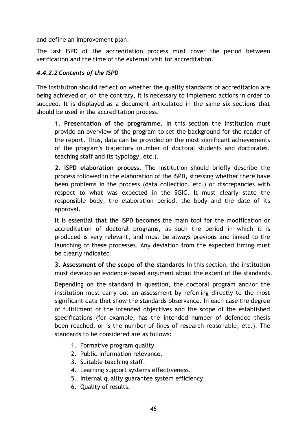and define an improvement plan.

The last ISPD of the accreditation process must cover the period between verification and the time of the external visit for accreditation.

## *4.4.2.2 Contents of the ISPD*

The institution should reflect on whether the quality standards of accreditation are being achieved or, on the contrary, it is necessary to implement actions in order to succeed. It is displayed as a document articulated in the same six sections that should be used in the accreditation process.

**1. Presentation of the programme.** In this section the institution must provide an overview of the program to set the background for the reader of the report. Thus, data can be provided on the most significant achievements of the program's trajectory (number of doctoral students and doctorates, teaching staff and its typology, etc.).

**2. ISPD elaboration process.** The institution should briefly describe the process followed in the elaboration of the ISPD, stressing whether there have been problems in the process (data collection, etc.) or discrepancies with respect to what was expected in the SGIC. It must clearly state the responsible body, the elaboration period, the body and the date of its approval.

It is essential that the ISPD becomes the main tool for the modification or accreditation of doctoral programs, as such the period in which it is produced is very relevant, and must be always previous and linked to the launching of these processes. Any deviation from the expected timing must be clearly indicated.

**3. Assessment of the scope of the standards** In this section, the institution must develop an evidence-based argument about the extent of the standards.

Depending on the standard in question, the doctoral program and/or the institution must carry out an assessment by referring directly to the most significant data that show the standards observance. In each case the degree of fulfillment of the intended objectives and the scope of the established specifications (for example, has the intended number of defended thesis been reached, or is the number of lines of research reasonable, etc.). The standards to be considered are as follows:

- 1. Formative program quality.
- 2. Public information relevance.
- 3. Suitable teaching staff.
- 4. Learning support systems effectiveness.
- 5. Internal quality guarantee system efficiency.
- 6. Quality of results.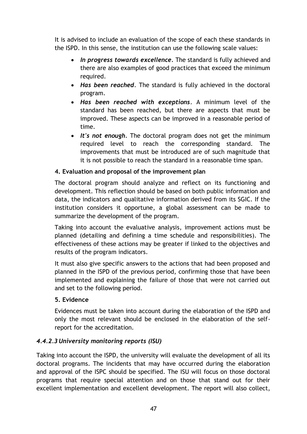It is advised to include an evaluation of the scope of each these standards in the ISPD. In this sense, the institution can use the following scale values:

- *In progress towards excellence.* The standard is fully achieved and there are also examples of good practices that exceed the minimum required.
- *Has been reached*. The standard is fully achieved in the doctoral program.
- *Has been reached with exceptions*. A minimum level of the standard has been reached, but there are aspects that must be improved. These aspects can be improved in a reasonable period of time.
- *It's not enough.* The doctoral program does not get the minimum required level to reach the corresponding standard. The improvements that must be introduced are of such magnitude that it is not possible to reach the standard in a reasonable time span.

# **4. Evaluation and proposal of the improvement plan**

The doctoral program should analyze and reflect on its functioning and development. This reflection should be based on both public information and data, the indicators and qualitative information derived from its SGIC. If the institution considers it opportune, a global assessment can be made to summarize the development of the program.

Taking into account the evaluative analysis, improvement actions must be planned (detailing and defining a time schedule and responsibilities). The effectiveness of these actions may be greater if linked to the objectives and results of the program indicators.

It must also give specific answers to the actions that had been proposed and planned in the ISPD of the previous period, confirming those that have been implemented and explaining the failure of those that were not carried out and set to the following period.

## **5. Evidence**

Evidences must be taken into account during the elaboration of the ISPD and only the most relevant should be enclosed in the elaboration of the selfreport for the accreditation.

## *4.4.2.3 University monitoring reports (ISU)*

Taking into account the ISPD, the university will evaluate the development of all its doctoral programs. The incidents that may have occurred during the elaboration and approval of the ISPC should be specified. The ISU will focus on those doctoral programs that require special attention and on those that stand out for their excellent implementation and excellent development. The report will also collect,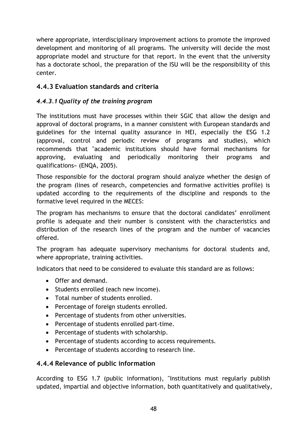where appropriate, interdisciplinary improvement actions to promote the improved development and monitoring of all programs. The university will decide the most appropriate model and structure for that report. In the event that the university has a doctorate school, the preparation of the ISU will be the responsibility of this center.

# **4.4.3 Evaluation standards and criteria**

# *4.4.3.1 Quality of the training program*

The institutions must have processes within their SGIC that allow the design and approval of doctoral programs, in a manner consistent with European standards and guidelines for the internal quality assurance in HEI, especially the ESG 1.2 (approval, control and periodic review of programs and studies), which recommends that "academic institutions should have formal mechanisms for approving, evaluating and periodically monitoring their programs and qualifications» (ENQA, 2005).

Those responsible for the doctoral program should analyze whether the design of the program (lines of research, competencies and formative activities profile) is updated according to the requirements of the discipline and responds to the formative level required in the MECES:

The program has mechanisms to ensure that the doctoral candidates' enrollment profile is adequate and their number is consistent with the characteristics and distribution of the research lines of the program and the number of vacancies offered.

The program has adequate supervisory mechanisms for doctoral students and, where appropriate, training activities.

Indicators that need to be considered to evaluate this standard are as follows:

- Offer and demand.
- Students enrolled (each new income).
- Total number of students enrolled.
- Percentage of foreign students enrolled.
- Percentage of students from other universities.
- Percentage of students enrolled part-time.
- Percentage of students with scholarship.
- Percentage of students according to access requirements.
- Percentage of students according to research line.

# **4.4.4 Relevance of public information**

According to ESG 1.7 (public information), "Institutions must regularly publish updated, impartial and objective information, both quantitatively and qualitatively,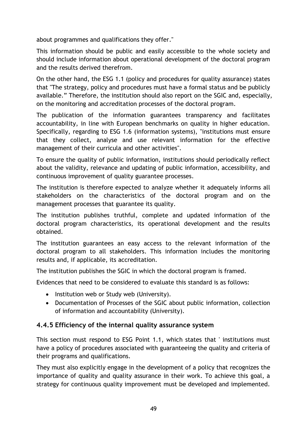about programmes and qualifications they offer."

This information should be public and easily accessible to the whole society and should include information about operational development of the doctoral program and the results derived therefrom.

On the other hand, the ESG 1.1 (policy and procedures for quality assurance) states that "The strategy, policy and procedures must have a formal status and be publicly available." Therefore, the institution should also report on the SGIC and, especially, on the monitoring and accreditation processes of the doctoral program.

The publication of the information guarantees transparency and facilitates accountability, in line with European benchmarks on quality in higher education. Specifically, regarding to ESG 1.6 (information systems), "institutions must ensure that they collect, analyse and use relevant information for the effective management of their curricula and other activities".

To ensure the quality of public information, institutions should periodically reflect about the validity, relevance and updating of public information, accessibility, and continuous improvement of quality guarantee processes.

The institution is therefore expected to analyze whether it adequately informs all stakeholders on the characteristics of the doctoral program and on the management processes that guarantee its quality.

The institution publishes truthful, complete and updated information of the doctoral program characteristics, its operational development and the results obtained.

The institution guarantees an easy access to the relevant information of the doctoral program to all stakeholders. This information includes the monitoring results and, if applicable, its accreditation.

The institution publishes the SGIC in which the doctoral program is framed.

Evidences that need to be considered to evaluate this standard is as follows:

- Institution web or Study web (University).
- Documentation of Processes of the SGIC about public information, collection of information and accountability (University).

## **4.4.5 Efficiency of the internal quality assurance system**

This section must respond to ESG Point 1.1, which states that ' institutions must have a policy of procedures associated with guaranteeing the quality and criteria of their programs and qualifications.

They must also explicitly engage in the development of a policy that recognizes the importance of quality and quality assurance in their work. To achieve this goal, a strategy for continuous quality improvement must be developed and implemented.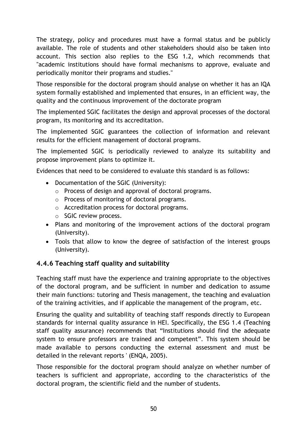The strategy, policy and procedures must have a formal status and be publicly available. The role of students and other stakeholders should also be taken into account. This section also replies to the ESG 1.2, which recommends that "academic institutions should have formal mechanisms to approve, evaluate and periodically monitor their programs and studies."

Those responsible for the doctoral program should analyse on whether it has an IQA system formally established and implemented that ensures, in an efficient way, the quality and the continuous improvement of the doctorate program

The implemented SGIC facilitates the design and approval processes of the doctoral program, its monitoring and its accreditation.

The implemented SGIC guarantees the collection of information and relevant results for the efficient management of doctoral programs.

The implemented SGIC is periodically reviewed to analyze its suitability and propose improvement plans to optimize it.

Evidences that need to be considered to evaluate this standard is as follows:

- Documentation of the SGIC (University):
	- o Process of design and approval of doctoral programs.
	- o Process of monitoring of doctoral programs.
	- o Accreditation process for doctoral programs.
	- o SGIC review process.
- Plans and monitoring of the improvement actions of the doctoral program (University).
- Tools that allow to know the degree of satisfaction of the interest groups (University).

# **4.4.6 Teaching staff quality and suitability**

Teaching staff must have the experience and training appropriate to the objectives of the doctoral program, and be sufficient in number and dedication to assume their main functions: tutoring and Thesis management, the teaching and evaluation of the training activities, and if applicable the management of the program, etc.

Ensuring the quality and suitability of teaching staff responds directly to European standards for internal quality assurance in HEI. Specifically, the ESG 1.4 (Teaching staff quality assurance) recommends that "Institutions should find the adequate system to ensure professors are trained and competent". This system should be made available to persons conducting the external assessment and must be detailed in the relevant reports ' (ENQA, 2005).

Those responsible for the doctoral program should analyze on whether number of teachers is sufficient and appropriate, according to the characteristics of the doctoral program, the scientific field and the number of students.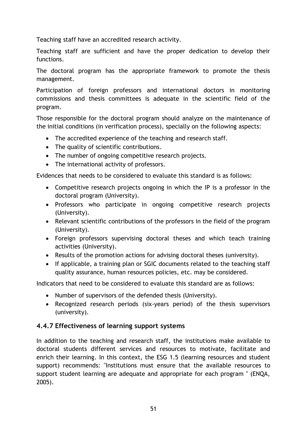Teaching staff have an accredited research activity.

Teaching staff are sufficient and have the proper dedication to develop their functions.

The doctoral program has the appropriate framework to promote the thesis management.

Participation of foreign professors and international doctors in monitoring commissions and thesis committees is adequate in the scientific field of the program.

Those responsible for the doctoral program should analyze on the maintenance of the initial conditions (in verification process), specially on the following aspects:

- The accredited experience of the teaching and research staff.
- The quality of scientific contributions.
- The number of ongoing competitive research projects.
- The international activity of professors.

Evidences that needs to be considered to evaluate this standard is as follows:

- Competitive research projects ongoing in which the IP is a professor in the doctoral program (University).
- Professors who participate in ongoing competitive research projects (University).
- Relevant scientific contributions of the professors in the field of the program (University).
- Foreign professors supervising doctoral theses and which teach training activities (University).
- Results of the promotion actions for advising doctoral theses (university).
- If applicable, a training plan or SGIC documents related to the teaching staff quality assurance, human resources policies, etc. may be considered.

Indicators that need to be considered to evaluate this standard are as follows:

- Number of supervisors of the defended thesis (University).
- Recognized research periods (six-years period) of the thesis supervisors (university).

## **4.4.7 Effectiveness of learning support systems**

In addition to the teaching and research staff, the institutions make available to doctoral students different services and resources to motivate, facilitate and enrich their learning. In this context, the ESG 1.5 (learning resources and student support) recommends: "Institutions must ensure that the available resources to support student learning are adequate and appropriate for each program " (ENQA, 2005).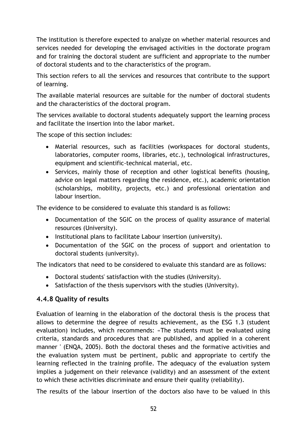The institution is therefore expected to analyze on whether material resources and services needed for developing the envisaged activities in the doctorate program and for training the doctoral student are sufficient and appropriate to the number of doctoral students and to the characteristics of the program.

This section refers to all the services and resources that contribute to the support of learning.

The available material resources are suitable for the number of doctoral students and the characteristics of the doctoral program.

The services available to doctoral students adequately support the learning process and facilitate the insertion into the labor market.

The scope of this section includes:

- Material resources, such as facilities (workspaces for doctoral students, laboratories, computer rooms, libraries, etc.), technological infrastructures, equipment and scientific-technical material, etc.
- Services, mainly those of reception and other logistical benefits (housing, advice on legal matters regarding the residence, etc.), academic orientation (scholarships, mobility, projects, etc.) and professional orientation and labour insertion.

The evidence to be considered to evaluate this standard is as follows:

- Documentation of the SGIC on the process of quality assurance of material resources (University).
- Institutional plans to facilitate Labour insertion (university).
- Documentation of the SGIC on the process of support and orientation to doctoral students (university).

The indicators that need to be considered to evaluate this standard are as follows:

- Doctoral students' satisfaction with the studies (University).
- Satisfaction of the thesis supervisors with the studies (University).

# **4.4.8 Quality of results**

Evaluation of learning in the elaboration of the doctoral thesis is the process that allows to determine the degree of results achievement, as the ESG 1.3 (student evaluation) includes, which recommends: «The students must be evaluated using criteria, standards and procedures that are published, and applied in a coherent manner ' (ENQA, 2005). Both the doctoral theses and the formative activities and the evaluation system must be pertinent, public and appropriate to certify the learning reflected in the training profile. The adequacy of the evaluation system implies a judgement on their relevance (validity) and an assessment of the extent to which these activities discriminate and ensure their quality (reliability).

The results of the labour insertion of the doctors also have to be valued in this